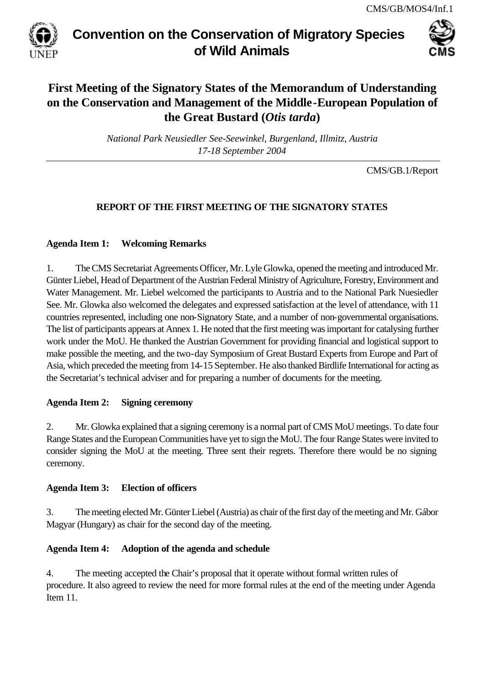

# **Convention on the Conservation of Migratory Species of Wild Animals**



# **First Meeting of the Signatory States of the Memorandum of Understanding on the Conservation and Management of the Middle-European Population of the Great Bustard (***Otis tarda***)**

*National Park Neusiedler See-Seewinkel, Burgenland, Illmitz, Austria 17-18 September 2004*

CMS/GB.1/Report

# **REPORT OF THE FIRST MEETING OF THE SIGNATORY STATES**

## **Agenda Item 1: Welcoming Remarks**

1. The CMS Secretariat Agreements Officer, Mr. Lyle Glowka, opened the meeting and introduced Mr. Günter Liebel, Head of Department of the Austrian Federal Ministry of Agriculture, Forestry, Environment and Water Management. Mr. Liebel welcomed the participants to Austria and to the National Park Nuesiedler See. Mr. Glowka also welcomed the delegates and expressed satisfaction at the level of attendance, with 11 countries represented, including one non-Signatory State, and a number of non-governmental organisations. The list of participants appears at Annex 1. He noted that the first meeting was important for catalysing further work under the MoU. He thanked the Austrian Government for providing financial and logistical support to make possible the meeting, and the two-day Symposium of Great Bustard Experts from Europe and Part of Asia, which preceded the meeting from 14-15 September. He also thanked Birdlife International for acting as the Secretariat's technical adviser and for preparing a number of documents for the meeting.

# **Agenda Item 2: Signing ceremony**

2. Mr. Glowka explained that a signing ceremony is a normal part of CMS MoU meetings. To date four Range States and the European Communities have yet to sign the MoU. The four Range States were invited to consider signing the MoU at the meeting. Three sent their regrets. Therefore there would be no signing ceremony.

## **Agenda Item 3: Election of officers**

3. The meeting elected Mr. Günter Liebel (Austria) as chair of the first day of the meeting and Mr. Gábor Magyar (Hungary) as chair for the second day of the meeting.

# **Agenda Item 4: Adoption of the agenda and schedule**

4. The meeting accepted the Chair's proposal that it operate without formal written rules of procedure. It also agreed to review the need for more formal rules at the end of the meeting under Agenda Item 11.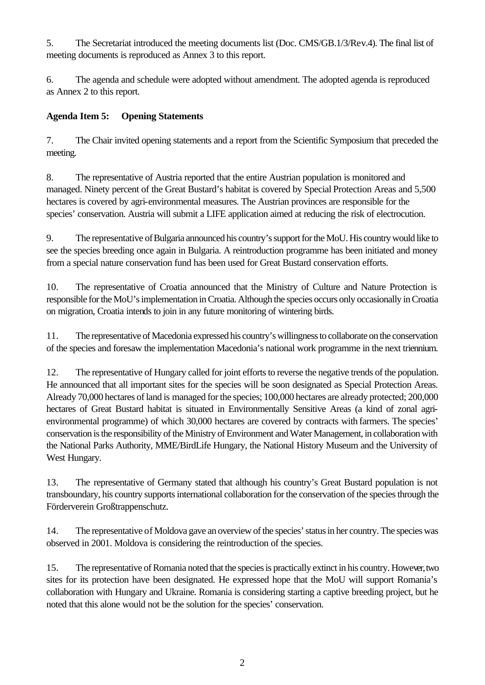5. The Secretariat introduced the meeting documents list (Doc. CMS/GB.1/3/Rev.4). The final list of meeting documents is reproduced as Annex 3 to this report.

6. The agenda and schedule were adopted without amendment. The adopted agenda is reproduced as Annex 2 to this report.

# **Agenda Item 5: Opening Statements**

7. The Chair invited opening statements and a report from the Scientific Symposium that preceded the meeting.

8. The representative of Austria reported that the entire Austrian population is monitored and managed. Ninety percent of the Great Bustard's habitat is covered by Special Protection Areas and 5,500 hectares is covered by agri-environmental measures. The Austrian provinces are responsible for the species' conservation. Austria will submit a LIFE application aimed at reducing the risk of electrocution.

9. The representative of Bulgaria announced his country's support for the MoU. His country would like to see the species breeding once again in Bulgaria. A reintroduction programme has been initiated and money from a special nature conservation fund has been used for Great Bustard conservation efforts.

10. The representative of Croatia announced that the Ministry of Culture and Nature Protection is responsible for the MoU's implementation in Croatia. Although the species occurs only occasionally in Croatia on migration, Croatia intends to join in any future monitoring of wintering birds.

11. The representative of Macedonia expressed his country's willingness to collaborate on the conservation of the species and foresaw the implementation Macedonia's national work programme in the next triennium.

12. The representative of Hungary called for joint efforts to reverse the negative trends of the population. He announced that all important sites for the species will be soon designated as Special Protection Areas. Already 70,000 hectares of land is managed for the species; 100,000 hectares are already protected; 200,000 hectares of Great Bustard habitat is situated in Environmentally Sensitive Areas (a kind of zonal agrienvironmental programme) of which 30,000 hectares are covered by contracts with farmers. The species' conservation is the responsibility of the Ministry of Environment and Water Management, in collaboration with the National Parks Authority, MME/BirdLife Hungary, the National History Museum and the University of West Hungary.

13. The representative of Germany stated that although his country's Great Bustard population is not transboundary, his country supports international collaboration for the conservation of the species through the Förderverein Großtrappenschutz.

14. The representative of Moldova gave an overview of the species' status in her country. The species was observed in 2001. Moldova is considering the reintroduction of the species.

15. The representative of Romania noted that the species is practically extinct in his country. However, two sites for its protection have been designated. He expressed hope that the MoU will support Romania's collaboration with Hungary and Ukraine. Romania is considering starting a captive breeding project, but he noted that this alone would not be the solution for the species' conservation.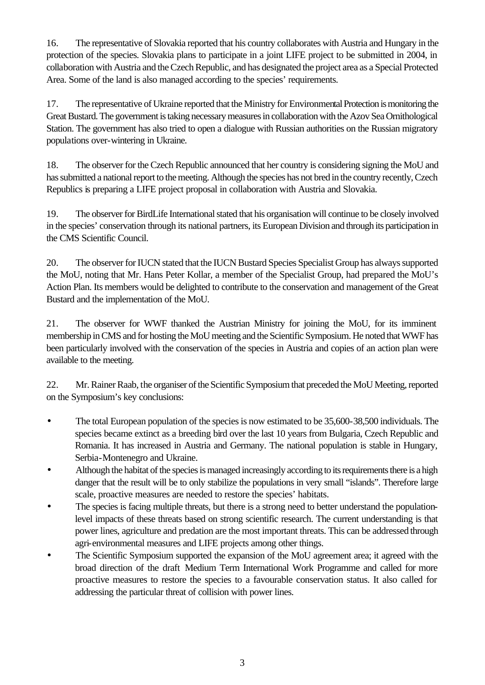16. The representative of Slovakia reported that his country collaborates with Austria and Hungary in the protection of the species. Slovakia plans to participate in a joint LIFE project to be submitted in 2004, in collaboration with Austria and the Czech Republic, and has designated the project area as a Special Protected Area. Some of the land is also managed according to the species' requirements.

17. The representative of Ukraine reported that the Ministry for Environmental Protection is monitoring the Great Bustard. The government is taking necessary measures in collaboration with the Azov Sea Ornithological Station. The government has also tried to open a dialogue with Russian authorities on the Russian migratory populations over-wintering in Ukraine.

18. The observer for the Czech Republic announced that her country is considering signing the MoU and has submitted a national report to the meeting. Although the species has not bred in the country recently, Czech Republics is preparing a LIFE project proposal in collaboration with Austria and Slovakia.

19. The observer for BirdLife International stated that his organisation will continue to be closely involved in the species' conservation through its national partners, its European Division and through its participation in the CMS Scientific Council.

20. The observer for IUCN stated that the IUCN Bustard Species Specialist Group has always supported the MoU, noting that Mr. Hans Peter Kollar, a member of the Specialist Group, had prepared the MoU's Action Plan. Its members would be delighted to contribute to the conservation and management of the Great Bustard and the implementation of the MoU.

21. The observer for WWF thanked the Austrian Ministry for joining the MoU, for its imminent membership in CMS and for hosting the MoU meeting and the Scientific Symposium. He noted that WWF has been particularly involved with the conservation of the species in Austria and copies of an action plan were available to the meeting.

22. Mr. Rainer Raab, the organiser of the Scientific Symposium that preceded the MoU Meeting, reported on the Symposium's key conclusions:

- The total European population of the species is now estimated to be 35,600-38,500 individuals. The species became extinct as a breeding bird over the last 10 years from Bulgaria, Czech Republic and Romania. It has increased in Austria and Germany. The national population is stable in Hungary, Serbia-Montenegro and Ukraine.
- Although the habitat of the species is managed increasingly according to its requirements there is a high danger that the result will be to only stabilize the populations in very small "islands". Therefore large scale, proactive measures are needed to restore the species' habitats.
- The species is facing multiple threats, but there is a strong need to better understand the populationlevel impacts of these threats based on strong scientific research. The current understanding is that power lines, agriculture and predation are the most important threats. This can be addressed through agri-environmental measures and LIFE projects among other things.
- The Scientific Symposium supported the expansion of the MoU agreement area; it agreed with the broad direction of the draft Medium Term International Work Programme and called for more proactive measures to restore the species to a favourable conservation status. It also called for addressing the particular threat of collision with power lines.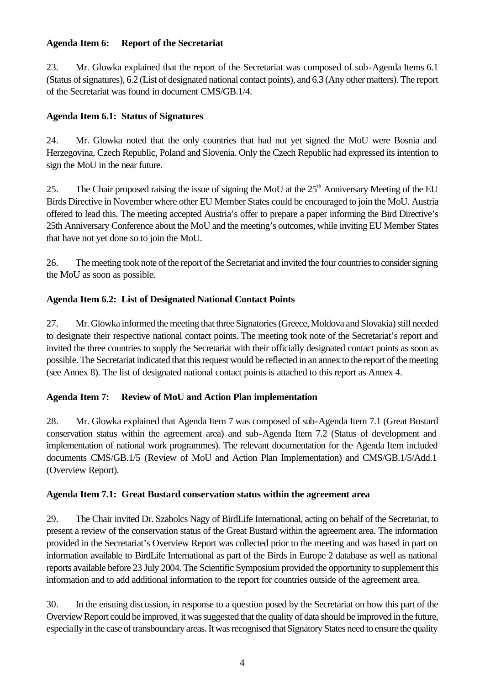## **Agenda Item 6: Report of the Secretariat**

23. Mr. Glowka explained that the report of the Secretariat was composed of sub-Agenda Items 6.1 (Status of signatures), 6.2 (List of designated national contact points), and 6.3 (Any other matters). The report of the Secretariat was found in document CMS/GB.1/4.

# **Agenda Item 6.1: Status of Signatures**

24. Mr. Glowka noted that the only countries that had not yet signed the MoU were Bosnia and Herzegovina, Czech Republic, Poland and Slovenia. Only the Czech Republic had expressed its intention to sign the MoU in the near future.

25. The Chair proposed raising the issue of signing the MoU at the 25<sup>th</sup> Anniversary Meeting of the EU Birds Directive in November where other EU Member States could be encouraged to join the MoU. Austria offered to lead this. The meeting accepted Austria's offer to prepare a paper informing the Bird Directive's 25th Anniversary Conference about the MoU and the meeting's outcomes, while inviting EU Member States that have not yet done so to join the MoU.

26. The meeting took note of the report of the Secretariat and invited the four countries to consider signing the MoU as soon as possible.

## **Agenda Item 6.2: List of Designated National Contact Points**

27. Mr. Glowka informed the meeting that three Signatories (Greece, Moldova and Slovakia) still needed to designate their respective national contact points. The meeting took note of the Secretariat's report and invited the three countries to supply the Secretariat with their officially designated contact points as soon as possible. The Secretariat indicated that this request would be reflected in an annex to the report of the meeting (see Annex 8). The list of designated national contact points is attached to this report as Annex 4.

# **Agenda Item 7: Review of MoU and Action Plan implementation**

28. Mr. Glowka explained that Agenda Item 7 was composed of sub-Agenda Item 7.1 (Great Bustard conservation status within the agreement area) and sub-Agenda Item 7.2 (Status of development and implementation of national work programmes). The relevant documentation for the Agenda Item included documents CMS/GB.1/5 (Review of MoU and Action Plan Implementation) and CMS/GB.1/5/Add.1 (Overview Report).

## **Agenda Item 7.1: Great Bustard conservation status within the agreement area**

29. The Chair invited Dr. Szabolcs Nagy of BirdLife International, acting on behalf of the Secretariat, to present a review of the conservation status of the Great Bustard within the agreement area. The information provided in the Secretariat's Overview Report was collected prior to the meeting and was based in part on information available to BirdLife International as part of the Birds in Europe 2 database as well as national reports available before 23 July 2004. The Scientific Symposium provided the opportunity to supplement this information and to add additional information to the report for countries outside of the agreement area.

30. In the ensuing discussion, in response to a question posed by the Secretariat on how this part of the Overview Report could be improved, it was suggested that the quality of data should be improved in the future, especially in the case of transboundary areas. It was recognised that Signatory States need to ensure the quality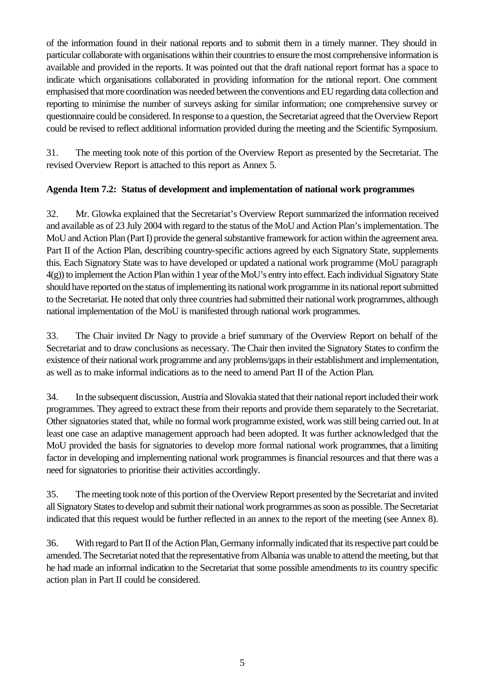of the information found in their national reports and to submit them in a timely manner. They should in particular collaborate with organisations within their countries to ensure the most comprehensive information is available and provided in the reports. It was pointed out that the draft national report format has a space to indicate which organisations collaborated in providing information for the national report. One comment emphasised that more coordination was needed between the conventions and EU regarding data collection and reporting to minimise the number of surveys asking for similar information; one comprehensive survey or questionnaire could be considered. In response to a question, the Secretariat agreed that the Overview Report could be revised to reflect additional information provided during the meeting and the Scientific Symposium.

31. The meeting took note of this portion of the Overview Report as presented by the Secretariat. The revised Overview Report is attached to this report as Annex 5.

# **Agenda Item 7.2: Status of development and implementation of national work programmes**

32. Mr. Glowka explained that the Secretariat's Overview Report summarized the information received and available as of 23 July 2004 with regard to the status of the MoU and Action Plan's implementation. The MoU and Action Plan (Part I) provide the general substantive framework for action within the agreement area. Part II of the Action Plan, describing country-specific actions agreed by each Signatory State, supplements this. Each Signatory State was to have developed or updated a national work programme (MoU paragraph 4(g)) to implement the Action Plan within 1 year of the MoU's entry into effect. Each individual Signatory State should have reported on the status of implementing its national work programme in its national report submitted to the Secretariat. He noted that only three countries had submitted their national work programmes, although national implementation of the MoU is manifested through national work programmes.

33. The Chair invited Dr Nagy to provide a brief summary of the Overview Report on behalf of the Secretariat and to draw conclusions as necessary. The Chair then invited the Signatory States to confirm the existence of their national work programme and any problems/gaps in their establishment and implementation, as well as to make informal indications as to the need to amend Part II of the Action Plan.

34. In the subsequent discussion, Austria and Slovakia stated that their national report included their work programmes. They agreed to extract these from their reports and provide them separately to the Secretariat. Other signatories stated that, while no formal work programme existed, work was still being carried out. In at least one case an adaptive management approach had been adopted. It was further acknowledged that the MoU provided the basis for signatories to develop more formal national work programmes, that a limiting factor in developing and implementing national work programmes is financial resources and that there was a need for signatories to prioritise their activities accordingly.

35. The meeting took note of this portion of the Overview Report presented by the Secretariat and invited all Signatory States to develop and submit their national work programmes as soon as possible. The Secretariat indicated that this request would be further reflected in an annex to the report of the meeting (see Annex 8).

36. With regard to Part II of the Action Plan, Germany informally indicated that its respective part could be amended. The Secretariat noted that the representative from Albania was unable to attend the meeting, but that he had made an informal indication to the Secretariat that some possible amendments to its country specific action plan in Part II could be considered.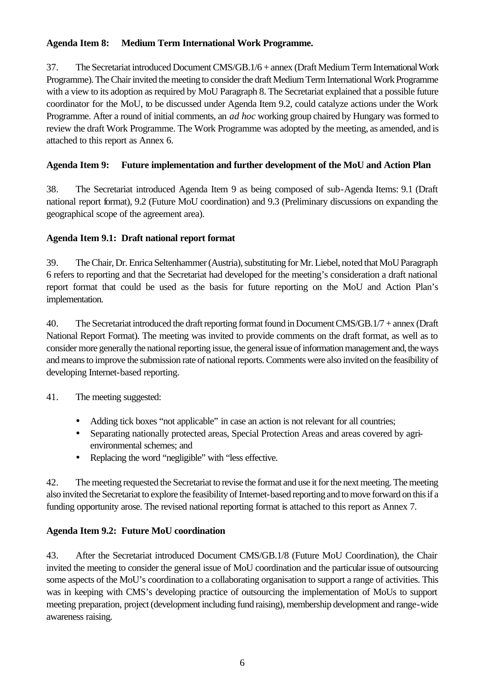## **Agenda Item 8: Medium Term International Work Programme.**

37. The Secretariat introduced Document CMS/GB.1/6 + annex (Draft Medium Term International Work Programme). The Chair invited the meeting to consider the draft Medium Term International Work Programme with a view to its adoption as required by MoU Paragraph 8. The Secretariat explained that a possible future coordinator for the MoU, to be discussed under Agenda Item 9.2, could catalyze actions under the Work Programme. After a round of initial comments, an *ad hoc* working group chaired by Hungary was formed to review the draft Work Programme. The Work Programme was adopted by the meeting, as amended, and is attached to this report as Annex 6.

# **Agenda Item 9: Future implementation and further development of the MoU and Action Plan**

38. The Secretariat introduced Agenda Item 9 as being composed of sub-Agenda Items: 9.1 (Draft national report format), 9.2 (Future MoU coordination) and 9.3 (Preliminary discussions on expanding the geographical scope of the agreement area).

## **Agenda Item 9.1: Draft national report format**

39. The Chair, Dr. Enrica Seltenhammer (Austria), substituting for Mr. Liebel, noted that MoU Paragraph 6 refers to reporting and that the Secretariat had developed for the meeting's consideration a draft national report format that could be used as the basis for future reporting on the MoU and Action Plan's implementation.

40. The Secretariat introduced the draft reporting format found in Document CMS/GB.1/7 + annex (Draft National Report Format). The meeting was invited to provide comments on the draft format, as well as to consider more generally the national reporting issue, the general issue of information management and, the ways and means to improve the submission rate of national reports. Comments were also invited on the feasibility of developing Internet-based reporting.

41. The meeting suggested:

- Adding tick boxes "not applicable" in case an action is not relevant for all countries;
- Separating nationally protected areas, Special Protection Areas and areas covered by agrienvironmental schemes; and
- Replacing the word "negligible" with "less effective.

42. The meeting requested the Secretariat to revise the format and use it for the next meeting. The meeting also invited the Secretariat to explore the feasibility of Internet-based reporting and to move forward on this if a funding opportunity arose. The revised national reporting format is attached to this report as Annex 7.

## **Agenda Item 9.2: Future MoU coordination**

43. After the Secretariat introduced Document CMS/GB.1/8 (Future MoU Coordination), the Chair invited the meeting to consider the general issue of MoU coordination and the particular issue of outsourcing some aspects of the MoU's coordination to a collaborating organisation to support a range of activities. This was in keeping with CMS's developing practice of outsourcing the implementation of MoUs to support meeting preparation, project (development including fund raising), membership development and range-wide awareness raising.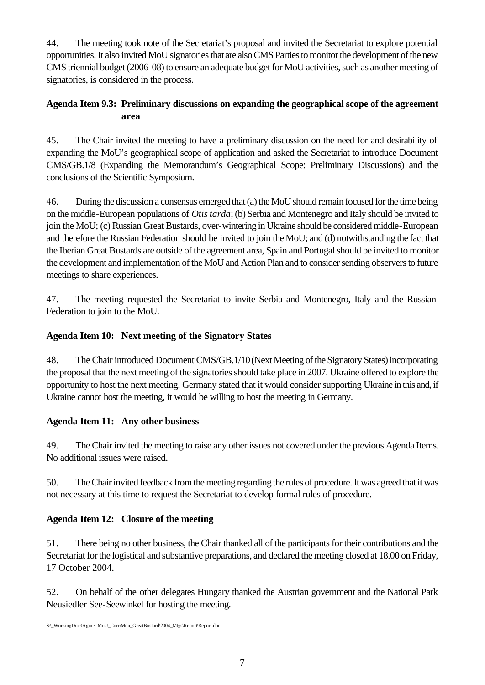44. The meeting took note of the Secretariat's proposal and invited the Secretariat to explore potential opportunities. It also invited MoU signatories that are also CMS Parties to monitor the development of the new CMS triennial budget (2006-08) to ensure an adequate budget for MoU activities, such as another meeting of signatories, is considered in the process.

# **Agenda Item 9.3: Preliminary discussions on expanding the geographical scope of the agreement area**

45. The Chair invited the meeting to have a preliminary discussion on the need for and desirability of expanding the MoU's geographical scope of application and asked the Secretariat to introduce Document CMS/GB.1/8 (Expanding the Memorandum's Geographical Scope: Preliminary Discussions) and the conclusions of the Scientific Symposium.

46. During the discussion a consensus emerged that (a) the MoU should remain focused for the time being on the middle-European populations of *Otis tarda*; (b) Serbia and Montenegro and Italy should be invited to join the MoU; (c) Russian Great Bustards, over-wintering in Ukraine should be considered middle-European and therefore the Russian Federation should be invited to join the MoU; and (d) notwithstanding the fact that the Iberian Great Bustards are outside of the agreement area, Spain and Portugal should be invited to monitor the development and implementation of the MoU and Action Plan and to consider sending observers to future meetings to share experiences.

47. The meeting requested the Secretariat to invite Serbia and Montenegro, Italy and the Russian Federation to join to the MoU.

# **Agenda Item 10: Next meeting of the Signatory States**

48. The Chair introduced Document CMS/GB.1/10 (Next Meeting of the Signatory States) incorporating the proposal that the next meeting of the signatories should take place in 2007. Ukraine offered to explore the opportunity to host the next meeting. Germany stated that it would consider supporting Ukraine in this and, if Ukraine cannot host the meeting, it would be willing to host the meeting in Germany.

# **Agenda Item 11: Any other business**

49. The Chair invited the meeting to raise any other issues not covered under the previous Agenda Items. No additional issues were raised.

50. The Chair invited feedback from the meeting regarding the rules of procedure. It was agreed that it was not necessary at this time to request the Secretariat to develop formal rules of procedure.

# **Agenda Item 12: Closure of the meeting**

51. There being no other business, the Chair thanked all of the participants for their contributions and the Secretariat for the logistical and substantive preparations, and declared the meeting closed at 18.00 on Friday, 17 October 2004.

52. On behalf of the other delegates Hungary thanked the Austrian government and the National Park Neusiedler See-Seewinkel for hosting the meeting.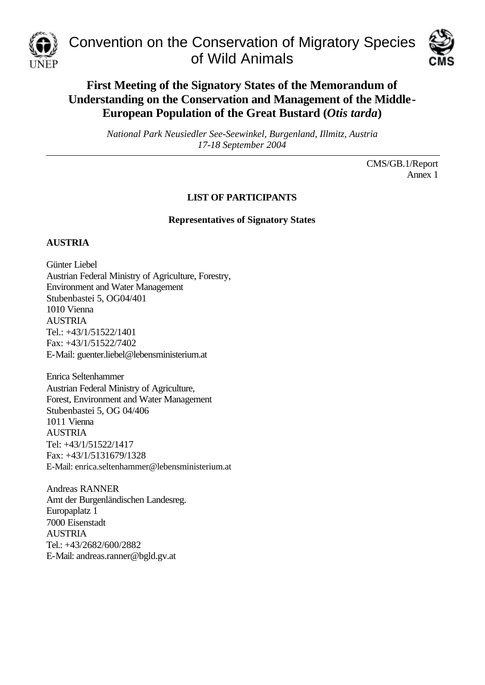

Convention on the Conservation of Migratory Species of Wild Animals



# **First Meeting of the Signatory States of the Memorandum of Understanding on the Conservation and Management of the Middle-European Population of the Great Bustard (***Otis tarda***)**

*National Park Neusiedler See-Seewinkel, Burgenland, Illmitz, Austria 17-18 September 2004*

> CMS/GB.1/Report Annex 1

# **LIST OF PARTICIPANTS**

**Representatives of Signatory States**

## **AUSTRIA**

Günter Liebel Austrian Federal Ministry of Agriculture, Forestry, Environment and Water Management Stubenbastei 5, OG04/401 1010 Vienna AUSTRIA Tel.: +43/1/51522/1401 Fax: +43/1/51522/7402 E-Mail: guenter.liebel@lebensministerium.at

Enrica Seltenhammer Austrian Federal Ministry of Agriculture, Forest, Environment and Water Management Stubenbastei 5, OG 04/406 1011 Vienna AUSTRIA Tel: +43/1/51522/1417 Fax: +43/1/5131679/1328 E-Mail: enrica.seltenhammer@lebensministerium.at

Andreas RANNER Amt der Burgenländischen Landesreg. Europaplatz 1 7000 Eisenstadt AUSTRIA Tel.: +43/2682/600/2882 E-Mail: andreas.ranner@bgld.gv.at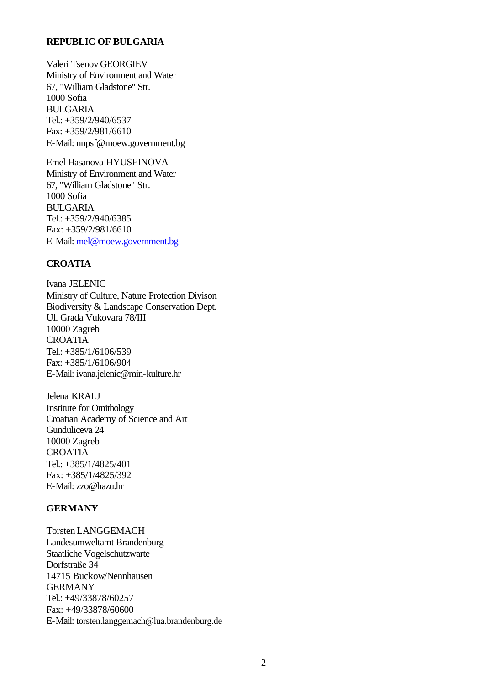### **REPUBLIC OF BULGARIA**

Valeri Tsenov GEORGIEV Ministry of Environment and Water 67, "William Gladstone" Str. 1000 Sofia BULGARIA Tel.: +359/2/940/6537 Fax: +359/2/981/6610 E-Mail: nnpsf@moew.government.bg

Emel Hasanova HYUSEINOVA Ministry of Environment and Water 67, "William Gladstone" Str. 1000 Sofia BULGARIA Tel.: +359/2/940/6385 Fax: +359/2/981/6610 E-Mail: mel@moew.government.bg

## **CROATIA**

Ivana JELENIC Ministry of Culture, Nature Protection Divison Biodiversity & Landscape Conservation Dept. Ul. Grada Vukovara 78/III 10000 Zagreb CROATIA Tel.: +385/1/6106/539 Fax: +385/1/6106/904 E-Mail: ivana.jelenic@min-kulture.hr

Jelena KRALJ Institute for Ornithology Croatian Academy of Science and Art Gunduliceva 24 10000 Zagreb **CROATIA** Tel.: +385/1/4825/401 Fax: +385/1/4825/392 E-Mail: zzo@hazu.hr

## **GERMANY**

Torsten LANGGEMACH Landesumweltamt Brandenburg Staatliche Vogelschutzwarte Dorfstraße 34 14715 Buckow/Nennhausen **GERMANY** Tel.: +49/33878/60257 Fax: +49/33878/60600 E-Mail: torsten.langgemach@lua.brandenburg.de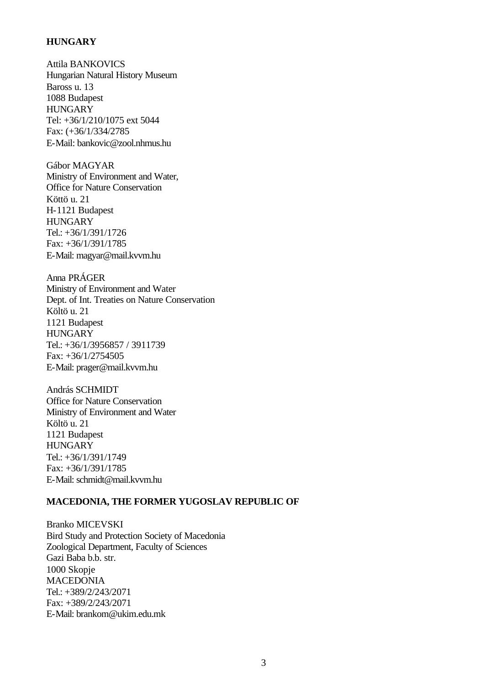## **HUNGARY**

Attila BANKOVICS Hungarian Natural History Museum Baross u. 13 1088 Budapest **HUNGARY** Tel: +36/1/210/1075 ext 5044 Fax: (+36/1/334/2785 E-Mail: bankovic@zool.nhmus.hu

Gábor MAGYAR Ministry of Environment and Water, Office for Nature Conservation Köttö u. 21 H-1121 Budapest **HUNGARY** Tel.: +36/1/391/1726 Fax: +36/1/391/1785 E-Mail: magyar@mail.kvvm.hu

Anna PRÁGER Ministry of Environment and Water Dept. of Int. Treaties on Nature Conservation Költö u. 21 1121 Budapest **HUNGARY** Tel.: +36/1/3956857 / 3911739 Fax: +36/1/2754505 E-Mail: prager@mail.kvvm.hu

András SCHMIDT Office for Nature Conservation Ministry of Environment and Water Költö u. 21 1121 Budapest **HUNGARY** Tel.: +36/1/391/1749 Fax: +36/1/391/1785 E-Mail: schmidt@mail.kvvm.hu

#### **MACEDONIA, THE FORMER YUGOSLAV REPUBLIC OF**

Branko MICEVSKI Bird Study and Protection Society of Macedonia Zoological Department, Faculty of Sciences Gazi Baba b.b. str. 1000 Skopje MACEDONIA Tel.: +389/2/243/2071 Fax: +389/2/243/2071 E-Mail: brankom@ukim.edu.mk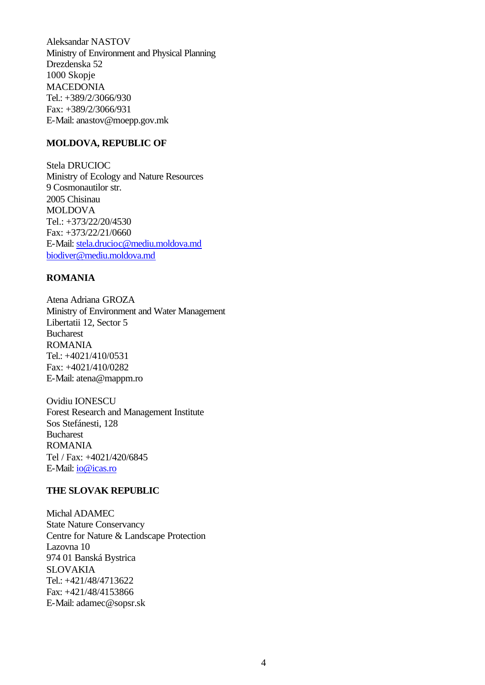Aleksandar NASTOV Ministry of Environment and Physical Planning Drezdenska 52 1000 Skopje MACEDONIA Tel.: +389/2/3066/930 Fax: +389/2/3066/931 E-Mail: anastov@moepp.gov.mk

### **MOLDOVA, REPUBLIC OF**

Stela DRUCIOC Ministry of Ecology and Nature Resources 9 Cosmonautilor str. 2005 Chisinau MOLDOVA Tel.: +373/22/20/4530 Fax: +373/22/21/0660 E-Mail: stela.drucioc@mediu.moldova.md biodiver@mediu.moldova.md

## **ROMANIA**

Atena Adriana GROZA Ministry of Environment and Water Management Libertatii 12, Sector 5 Bucharest ROMANIA Tel.: +4021/410/0531 Fax: +4021/410/0282 E-Mail: atena@mappm.ro

Ovidiu IONESCU Forest Research and Management Institute Sos Stefánesti, 128 Bucharest ROMANIA Tel / Fax: +4021/420/6845 E-Mail: io@icas.ro

#### **THE SLOVAK REPUBLIC**

Michal ADAMEC State Nature Conservancy Centre for Nature & Landscape Protection Lazovna 10 974 01 Banská Bystrica SLOVAKIA Tel.: +421/48/4713622 Fax: +421/48/4153866 E-Mail: adamec@sopsr.sk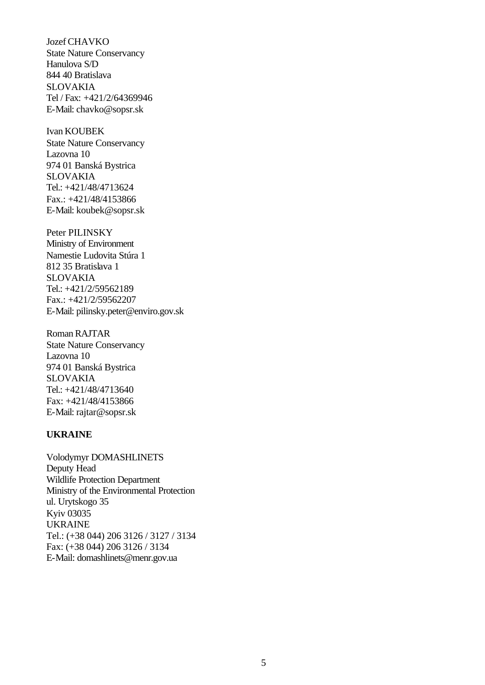JozefCHAVKO State Nature Conservancy Hanulova S/D 844 40 Bratislava SLOVAKIA Tel / Fax: +421/2/64369946 E-Mail: chavko@sopsr.sk

Ivan KOUBEK State Nature Conservancy Lazovna 10 974 01 Banská Bystrica SLOVAKIA Tel.: +421/48/4713624 Fax.: +421/48/4153866 E-Mail: koubek@sopsr.sk

Peter PILINSKY Ministry of Environment Namestie Ludovita Stúra 1 812 35 Bratislava 1 SLOVAKIA Tel.: +421/2/59562189 Fax.: +421/2/59562207 E-Mail: pilinsky.peter@enviro.gov.sk

Roman RAJTAR State Nature Conservancy Lazovna 10 974 01 Banská Bystrica SLOVAKIA Tel.: +421/48/4713640 Fax: +421/48/4153866 E-Mail: rajtar@sopsr.sk

### **UKRAINE**

Volodymyr DOMASHLINETS Deputy Head Wildlife Protection Department Ministry of the Environmental Protection ul. Urytskogo 35 Kyiv 03035 UKRAINE Tel.: (+38 044) 206 3126 / 3127 / 3134 Fax: (+38 044) 206 3126 / 3134 E-Mail: domashlinets@menr.gov.ua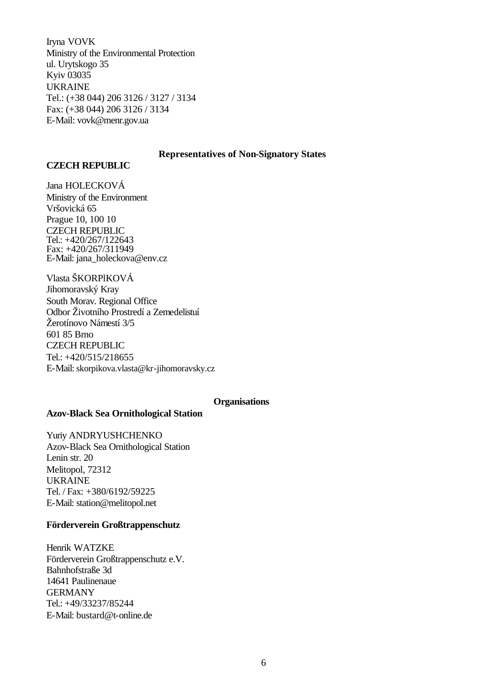Iryna VOVK Ministry of the Environmental Protection ul. Urytskogo 35 Kyiv 03035 UKRAINE Tel.: (+38 044) 206 3126 / 3127 / 3134 Fax: (+38 044) 206 3126 / 3134 E-Mail: vovk@menr.gov.ua

#### **Representatives of Non-Signatory States**

### **CZECH REPUBLIC**

Jana HOLECKOVÁ Ministry of the Environment Vršovická 65 Prague 10, 100 10 CZECH REPUBLIC Tel.: +420/267/122643 Fax: +420/267/311949 E-Mail: jana\_holeckova@env.cz

Vlasta ŠKORPlKOVÁ Jihomoravský Kray South Morav. Regional Office Odbor Životního Prostredí a Zemedelistuí Žerotínovo Námestí 3/5 601 85 Brno CZECH REPUBLIC Tel.: +420/515/218655 E-Mail: skorpikova.vlasta@kr-jihomoravsky.cz

### **Organisations**

### **Azov-Black Sea Ornithological Station**

Yuriy ANDRYUSHCHENKO Azov-Black Sea Ornithological Station Lenin str. 20 Melitopol, 72312 UKRAINE Tel. / Fax: +380/6192/59225 E-Mail: station@melitopol.net

### **Förderverein Großtrappenschutz**

Henrik WATZKE Förderverein Großtrappenschutz e.V. Bahnhofstraße 3d 14641 Paulinenaue GERMANY Tel.: +49/33237/85244 E-Mail: bustard@t-online.de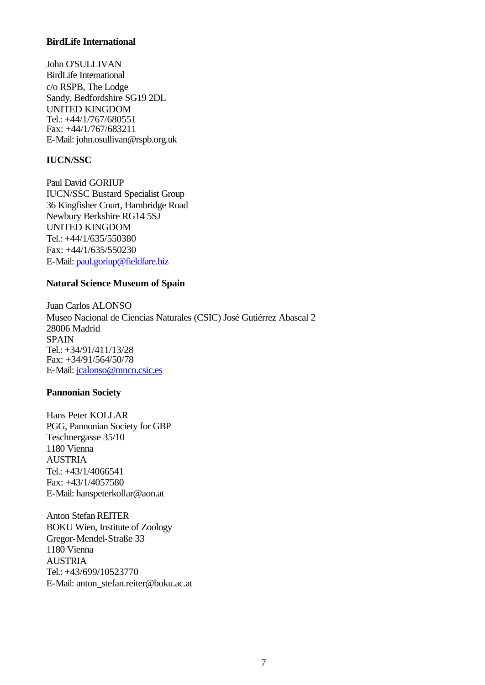### **BirdLife International**

John O'SULLIVAN BirdLife International c/o RSPB, The Lodge Sandy, Bedfordshire SG19 2DL UNITED KINGDOM Tel.: +44/1/767/680551 Fax: +44/1/767/683211 E-Mail: john.osullivan@rspb.org.uk

### **IUCN/SSC**

Paul David GORIUP IUCN/SSC Bustard Specialist Group 36 Kingfisher Court, Hambridge Road Newbury Berkshire RG14 5SJ UNITED KINGDOM Tel.: +44/1/635/550380 Fax: +44/1/635/550230 E-Mail: paul.goriup@fieldfare.biz

#### **Natural Science Museum of Spain**

Juan Carlos ALONSO Museo Nacional de Ciencias Naturales (CSIC) José Gutiérrez Abascal 2 28006 Madrid SPAIN Tel.: +34/91/411/13/28 Fax: +34/91/564/50/78 E-Mail: jcalonso@mncn.csic.es

### **Pannonian Society**

Hans Peter KOLLAR PGG, Pannonian Society for GBP Teschnergasse 35/10 1180 Vienna **AUSTRIA** Tel.: +43/1/4066541 Fax: +43/1/4057580 E-Mail: hanspeterkollar@aon.at

**Anton Stefan REITER** BOKU Wien, Institute of Zoology Gregor-Mendel-Straße 33 1180 Vienna AUSTRIA Tel.: +43/699/10523770 E-Mail: anton\_stefan.reiter@boku.ac.at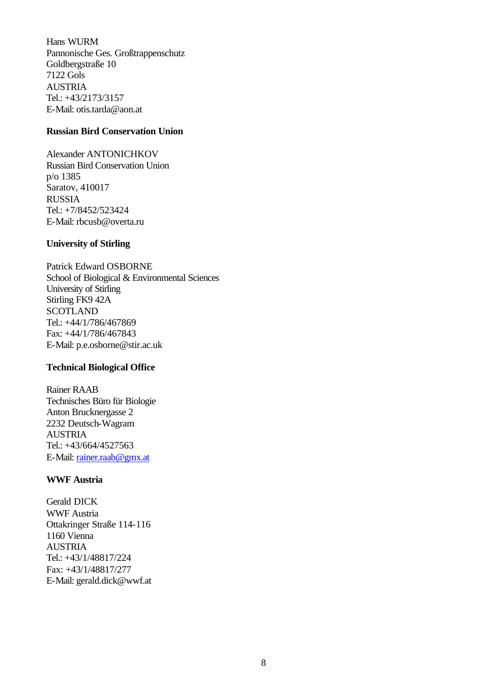Hans WURM Pannonische Ges. Großtrappenschutz Goldbergstraße 10 7122 Gols **AUSTRIA** Tel.: +43/2173/3157 E-Mail: otis.tarda@aon.at

## **Russian Bird Conservation Union**

Alexander ANTONICHKOV Russian Bird Conservation Union p/o 1385 Saratov, 410017 RUSSIA Tel.: +7/8452/523424 E-Mail: rbcusb@overta.ru

### **University of Stirling**

Patrick Edward OSBORNE School of Biological & Environmental Sciences University of Stirling Stirling FK9 42A **SCOTLAND** Tel.: +44/1/786/467869 Fax: +44/1/786/467843 E-Mail: p.e.osborne@stir.ac.uk

### **Technical Biological Office**

Rainer RAAB Technisches Büro für Biologie Anton Brucknergasse 2 2232 Deutsch-Wagram AUSTRIA Tel.: +43/664/4527563 E-Mail: rainer.raab@gmx.at

### **WWF Austria**

Gerald DICK WWF Austria Ottakringer Straße 114-116 1160 Vienna AUSTRIA Tel.: +43/1/48817/224 Fax: +43/1/48817/277 E-Mail: gerald.dick@wwf.at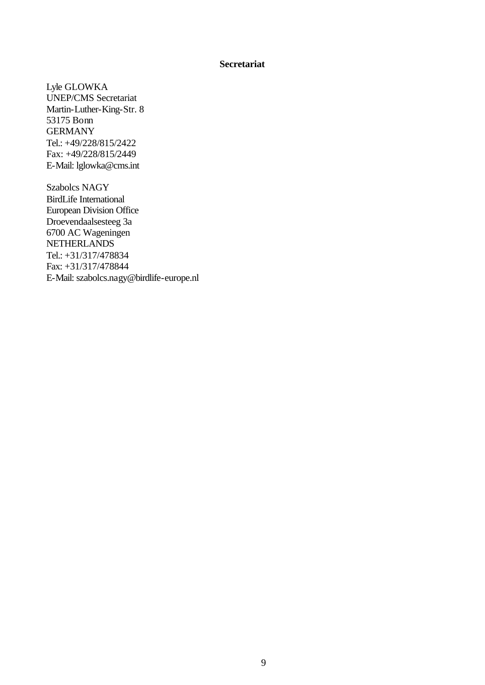#### **Secretariat**

Lyle GLOWKA UNEP/CMS Secretariat Martin-Luther-King-Str. 8 53175 Bonn GERMANY Tel.: +49/228/815/2422 Fax: +49/228/815/2449 E-Mail: lglowka@cms.int

Szabolcs NAGY BirdLife International European Division Office Droevendaalsesteeg 3a 6700 AC Wageningen **NETHERLANDS** Tel.: +31/317/478834 Fax: +31/317/478844 E-Mail: szabolcs.nagy@birdlife-europe.nl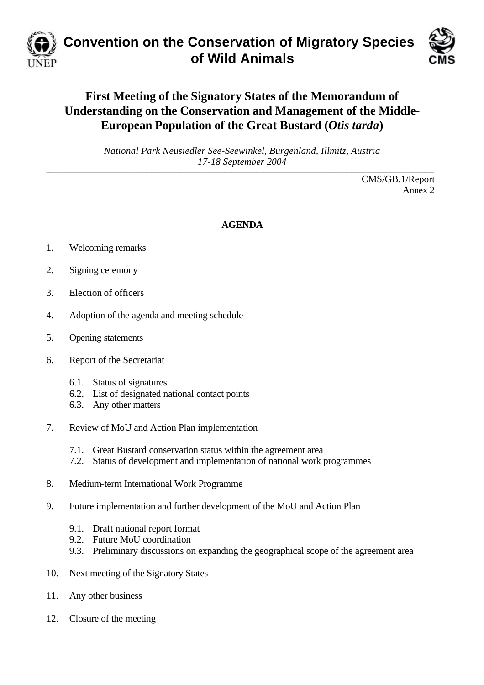

# **Convention on the Conservation of Migratory Species of Wild Animals**



# **First Meeting of the Signatory States of the Memorandum of Understanding on the Conservation and Management of the Middle-European Population of the Great Bustard (***Otis tarda***)**

*National Park Neusiedler See-Seewinkel, Burgenland, Illmitz, Austria 17-18 September 2004* **\_\_\_\_\_\_\_\_\_\_\_\_\_\_\_\_\_\_\_\_\_\_\_\_\_\_\_\_\_\_\_\_\_\_\_\_\_\_\_\_\_\_\_\_\_\_\_\_\_\_\_\_\_\_\_\_\_\_\_\_\_\_\_\_\_\_\_\_\_\_\_\_\_\_\_\_\_\_\_\_\_\_\_\_\_\_\_\_\_\_\_\_\_\_\_\_\_\_\_\_\_\_\_\_\_\_\_\_\_\_\_\_\_\_\_\_\_\_\_\_\_\_\_\_\_\_\_\_\_\_\_\_\_\_\_\_\_\_\_\_\_\_\_\_\_\_\_\_\_\_\_\_\_\_\_\_\_\_\_**

> CMS/GB.1/Report Annex 2

# **AGENDA**

- 1. Welcoming remarks
- 2. Signing ceremony
- 3. Election of officers
- 4. Adoption of the agenda and meeting schedule
- 5. Opening statements
- 6. Report of the Secretariat
	- 6.1. Status of signatures
	- 6.2. List of designated national contact points
	- 6.3. Any other matters
- 7. Review of MoU and Action Plan implementation
	- 7.1. Great Bustard conservation status within the agreement area
	- 7.2. Status of development and implementation of national work programmes
- 8. Medium-term International Work Programme
- 9. Future implementation and further development of the MoU and Action Plan
	- 9.1. Draft national report format
	- 9.2. Future MoU coordination
	- 9.3. Preliminary discussions on expanding the geographical scope of the agreement area
- 10. Next meeting of the Signatory States
- 11. Any other business
- 12. Closure of the meeting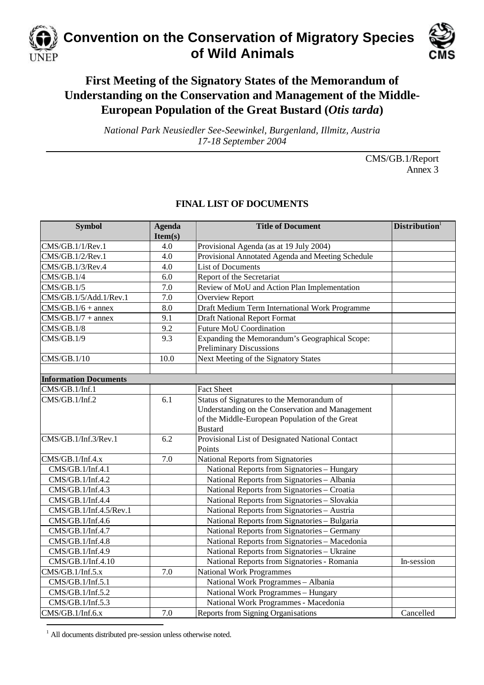

# **First Meeting of the Signatory States of the Memorandum of Understanding on the Conservation and Management of the Middle-European Population of the Great Bustard (***Otis tarda***)**

*National Park Neusiedler See-Seewinkel, Burgenland, Illmitz, Austria 17-18 September 2004*

> CMS/GB.1/Report Annex 3

| <b>Symbol</b>                | <b>Agenda</b><br>Item(s) | <b>Title of Document</b>                                                                                                                                          | Distribution <sup>1</sup> |
|------------------------------|--------------------------|-------------------------------------------------------------------------------------------------------------------------------------------------------------------|---------------------------|
| CMS/GB.1/1/Rev.1             | 4.0                      | Provisional Agenda (as at 19 July 2004)                                                                                                                           |                           |
| CMS/GB.1/2/Rev.1             | 4.0                      | Provisional Annotated Agenda and Meeting Schedule                                                                                                                 |                           |
| CMS/GB.1/3/Rev.4             | 4.0                      | <b>List of Documents</b>                                                                                                                                          |                           |
| CMS/GB.1/4                   | 6.0                      | Report of the Secretariat                                                                                                                                         |                           |
| CMS/GB.1/5                   | 7.0                      | Review of MoU and Action Plan Implementation                                                                                                                      |                           |
| CMS/GB.1/5/Add.1/Rev.1       | 7.0                      | <b>Overview Report</b>                                                                                                                                            |                           |
| $CMS/GB.1/6 + annex$         | 8.0                      | Draft Medium Term International Work Programme                                                                                                                    |                           |
| $CMS/GB.1/7 + annex$         | 9.1                      | <b>Draft National Report Format</b>                                                                                                                               |                           |
| CMS/GB.1/8                   | 9.2                      | <b>Future MoU Coordination</b>                                                                                                                                    |                           |
| CMS/GB.1/9                   | 9.3                      | Expanding the Memorandum's Geographical Scope:<br><b>Preliminary Discussions</b>                                                                                  |                           |
| CMS/GB.1/10                  | 10.0                     | Next Meeting of the Signatory States                                                                                                                              |                           |
| <b>Information Documents</b> |                          |                                                                                                                                                                   |                           |
| CMS/GB.1/Inf.1               |                          | <b>Fact Sheet</b>                                                                                                                                                 |                           |
| CMS/GB.1/Inf.2               | 6.1                      | Status of Signatures to the Memorandum of<br>Understanding on the Conservation and Management<br>of the Middle-European Population of the Great<br><b>Bustard</b> |                           |
| CMS/GB.1/Inf.3/Rev.1         | 6.2                      | Provisional List of Designated National Contact<br>Points                                                                                                         |                           |
| CMS/GB.1/Inf.4.x             | 7.0                      | National Reports from Signatories                                                                                                                                 |                           |
| CMS/GB.1/Inf.4.1             |                          | National Reports from Signatories - Hungary                                                                                                                       |                           |
| CMS/GB.1/Inf.4.2             |                          | National Reports from Signatories - Albania                                                                                                                       |                           |
| CMS/GB.1/Inf.4.3             |                          | National Reports from Signatories - Croatia                                                                                                                       |                           |
| CMS/GB.1/Inf.4.4             |                          | National Reports from Signatories - Slovakia                                                                                                                      |                           |
| CMS/GB.1/Inf.4.5/Rev.1       |                          | National Reports from Signatories - Austria                                                                                                                       |                           |
| CMS/GB.1/Inf.4.6             |                          | National Reports from Signatories - Bulgaria                                                                                                                      |                           |
| CMS/GB.1/Inf.4.7             |                          | National Reports from Signatories - Germany                                                                                                                       |                           |
| CMS/GB.1/Inf.4.8             |                          | National Reports from Signatories - Macedonia                                                                                                                     |                           |
| CMS/GB.1/Inf.4.9             |                          | National Reports from Signatories - Ukraine                                                                                                                       |                           |
| CMS/GB.1/Inf.4.10            |                          | National Reports from Signatories - Romania                                                                                                                       | In-session                |
| CMS/GB.1/Inf.5.x             | 7.0                      | <b>National Work Programmes</b>                                                                                                                                   |                           |
| CMS/GB.1/Inf.5.1             |                          | National Work Programmes - Albania                                                                                                                                |                           |
| CMS/GB.1/Inf.5.2             |                          | National Work Programmes - Hungary                                                                                                                                |                           |
| CMS/GB.1/Inf.5.3             |                          | National Work Programmes - Macedonia                                                                                                                              |                           |
| CMS/GB.1/Inf.6.x             | 7.0                      | Reports from Signing Organisations                                                                                                                                | Cancelled                 |

# **FINAL LIST OF DOCUMENTS**

<sup>1</sup> All documents distributed pre-session unless otherwise noted.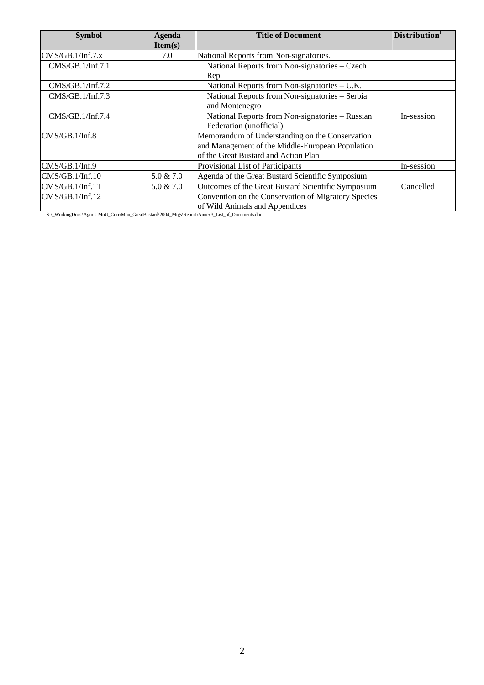| <b>Symbol</b>    | <b>Agenda</b> | <b>Title of Document</b>                            | <b>Distribution</b> |
|------------------|---------------|-----------------------------------------------------|---------------------|
|                  | Item(s)       |                                                     |                     |
| CMS/GB.1/Inf.7.x | 7.0           | National Reports from Non-signatories.              |                     |
| CMS/GB.1/Inf.7.1 |               | National Reports from Non-signatories - Czech       |                     |
|                  |               | Rep.                                                |                     |
| CMS/GB.1/Inf.7.2 |               | National Reports from Non-signatories – U.K.        |                     |
| CMS/GB.1/Inf.7.3 |               | National Reports from Non-signatories - Serbia      |                     |
|                  |               | and Montenegro                                      |                     |
| CMS/GB.1/Inf.7.4 |               | National Reports from Non-signatories - Russian     | In-session          |
|                  |               | Federation (unofficial)                             |                     |
| CMS/GB.1/Inf.8   |               | Memorandum of Understanding on the Conservation     |                     |
|                  |               | and Management of the Middle-European Population    |                     |
|                  |               | of the Great Bustard and Action Plan                |                     |
| CMS/GB.1/Inf.9   |               | Provisional List of Participants                    | In-session          |
| CMS/GB.1/Inf.10  | 5.0 & 7.0     | Agenda of the Great Bustard Scientific Symposium    |                     |
| CMS/GB.1/Inf.11  | $5.0 \& 7.0$  | Outcomes of the Great Bustard Scientific Symposium  | Cancelled           |
| CMS/GB.1/Inf.12  |               | Convention on the Conservation of Migratory Species |                     |
|                  |               | of Wild Animals and Appendices                      |                     |

S:\\_WorkingDocs\Agmts-MoU\_Corr\Mou\_GreatBustard\2004\_Mtgs\Report\Annex3\_List\_of\_Documents.doc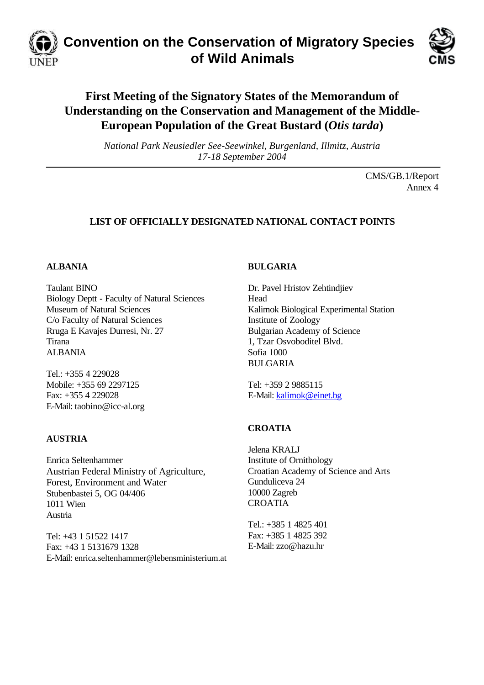

# **Convention on the Conservation of Migratory Species of Wild Animals**



# **First Meeting of the Signatory States of the Memorandum of Understanding on the Conservation and Management of the Middle-European Population of the Great Bustard (***Otis tarda***)**

*National Park Neusiedler See-Seewinkel, Burgenland, Illmitz, Austria 17-18 September 2004*

> CMS/GB.1/Report Annex 4

# **LIST OF OFFICIALLY DESIGNATED NATIONAL CONTACT POINTS**

## **ALBANIA**

Taulant BINO Biology Deptt - Faculty of Natural Sciences Museum of Natural Sciences C/o Faculty of Natural Sciences Rruga E Kavajes Durresi, Nr. 27 Tirana ALBANIA

Tel.: +355 4 229028 Mobile: +355 69 2297125 Fax: +355 4 229028 E-Mail: taobino@icc-al.org

## **AUSTRIA**

Enrica Seltenhammer Austrian Federal Ministry of Agriculture, Forest, Environment and Water Stubenbastei 5, OG 04/406 1011 Wien Austria

Tel: +43 1 51522 1417 Fax: +43 1 5131679 1328 E-Mail: enrica.seltenhammer@lebensministerium.at

## **BULGARIA**

Dr. Pavel Hristov Zehtindjiev Head Kalimok Biological Experimental Station Institute of Zoology Bulgarian Academy of Science 1, Tzar Osvoboditel Blvd. Sofia 1000 BULGARIA

Tel: +359 2 9885115 E-Mail: kalimok@einet.bg

# **CROATIA**

Jelena KRALJ Institute of Ornithology Croatian Academy of Science and Arts Gunduliceva 24 10000 Zagreb CROATIA

Tel.: +385 1 4825 401 Fax: +385 1 4825 392 E-Mail: zzo@hazu.hr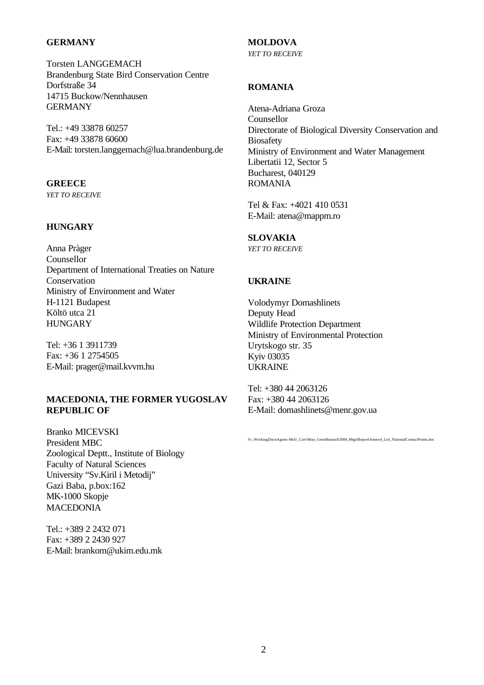### **GERMANY**

Torsten LANGGEMACH Brandenburg State Bird Conservation Centre Dorfstraße 34 14715 Buckow/Nennhausen **GERMANY** 

Tel.: +49 33878 60257 Fax: +49 33878 60600 E-Mail: torsten.langgemach@lua.brandenburg.de

# **GREECE**

*YET TO RECEIVE*

## **HUNGARY**

Anna Pràger Counsellor Department of International Treaties on Nature Conservation Ministry of Environment and Water H-1121 Budapest Költö utca 21 **HUNGARY** 

Tel: +36 1 3911739 Fax: +36 1 2754505 E-Mail: prager@mail.kvvm.hu

## **MACEDONIA, THE FORMER YUGOSLAV REPUBLIC OF**

Branko MICEVSKI President MBC Zoological Deptt., Institute of Biology Faculty of Natural Sciences University "Sv.Kiril i Metodij" Gazi Baba, p.box:162 MK-1000 Skopje **MACEDONIA** 

Tel.: +389 2 2432 071 Fax: +389 2 2430 927 E-Mail: brankom@ukim.edu.mk

# **MOLDOVA**

*YET TO RECEIVE*

## **ROMANIA**

Atena-Adriana Groza Counsellor Directorate of Biological Diversity Conservation and **Biosafety** Ministry of Environment and Water Management Libertatii 12, Sector 5 Bucharest, 040129 ROMANIA

Tel & Fax: +4021 410 0531 E-Mail: atena@mappm.ro

### **SLOVAKIA**

*YET TO RECEIVE*

## **UKRAINE**

Volodymyr Domashlinets Deputy Head Wildlife Protection Department Ministry of Environmental Protection Urytskogo str. 35 Kyiv 03035 UKRAINE

Tel: +380 44 2063126 Fax: +380 44 2063126 E-Mail: domashlinets@menr.gov.ua

S:\\_WorkingDocs\Agmts-MoU\_Corr\Mou\_GreatBustard\2004\_Mtgs\Report\Annex4\_List\_NationalContactPoints.doc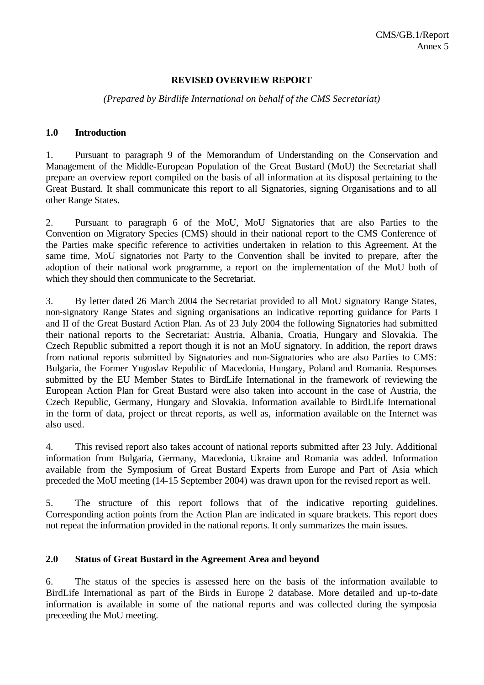## **REVISED OVERVIEW REPORT**

## *(Prepared by Birdlife International on behalf of the CMS Secretariat)*

### **1.0 Introduction**

1. Pursuant to paragraph 9 of the Memorandum of Understanding on the Conservation and Management of the Middle-European Population of the Great Bustard (MoU) the Secretariat shall prepare an overview report compiled on the basis of all information at its disposal pertaining to the Great Bustard. It shall communicate this report to all Signatories, signing Organisations and to all other Range States.

2. Pursuant to paragraph 6 of the MoU, MoU Signatories that are also Parties to the Convention on Migratory Species (CMS) should in their national report to the CMS Conference of the Parties make specific reference to activities undertaken in relation to this Agreement. At the same time, MoU signatories not Party to the Convention shall be invited to prepare, after the adoption of their national work programme, a report on the implementation of the MoU both of which they should then communicate to the Secretariat.

3. By letter dated 26 March 2004 the Secretariat provided to all MoU signatory Range States, non-signatory Range States and signing organisations an indicative reporting guidance for Parts I and II of the Great Bustard Action Plan. As of 23 July 2004 the following Signatories had submitted their national reports to the Secretariat: Austria, Albania, Croatia, Hungary and Slovakia. The Czech Republic submitted a report though it is not an MoU signatory. In addition, the report draws from national reports submitted by Signatories and non-Signatories who are also Parties to CMS: Bulgaria, the Former Yugoslav Republic of Macedonia, Hungary, Poland and Romania. Responses submitted by the EU Member States to BirdLife International in the framework of reviewing the European Action Plan for Great Bustard were also taken into account in the case of Austria, the Czech Republic, Germany, Hungary and Slovakia. Information available to BirdLife International in the form of data, project or threat reports, as well as, information available on the Internet was also used.

4. This revised report also takes account of national reports submitted after 23 July. Additional information from Bulgaria, Germany, Macedonia, Ukraine and Romania was added. Information available from the Symposium of Great Bustard Experts from Europe and Part of Asia which preceded the MoU meeting (14-15 September 2004) was drawn upon for the revised report as well.

5. The structure of this report follows that of the indicative reporting guidelines. Corresponding action points from the Action Plan are indicated in square brackets. This report does not repeat the information provided in the national reports. It only summarizes the main issues.

### **2.0 Status of Great Bustard in the Agreement Area and beyond**

6. The status of the species is assessed here on the basis of the information available to BirdLife International as part of the Birds in Europe 2 database. More detailed and up-to-date information is available in some of the national reports and was collected during the symposia preceeding the MoU meeting.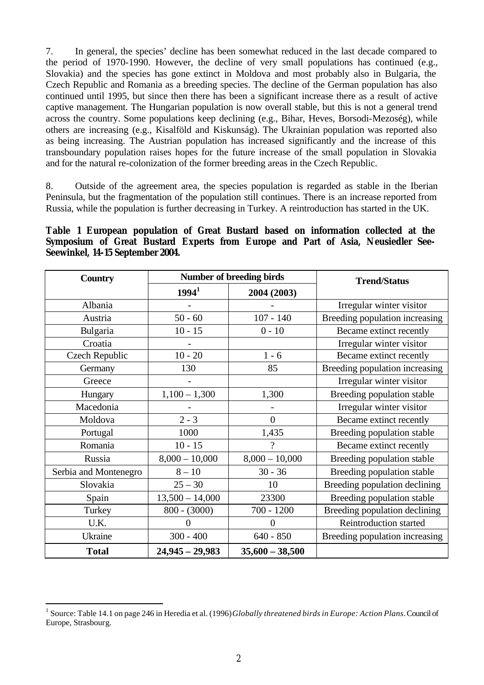7. In general, the species' decline has been somewhat reduced in the last decade compared to the period of 1970-1990. However, the decline of very small populations has continued (e.g., Slovakia) and the species has gone extinct in Moldova and most probably also in Bulgaria, the Czech Republic and Romania as a breeding species. The decline of the German population has also continued until 1995, but since then there has been a significant increase there as a result of active captive management. The Hungarian population is now overall stable, but this is not a general trend across the country. Some populations keep declining (e.g., Bihar, Heves, Borsodi-Mezoség), while others are increasing (e.g., Kisalföld and Kiskunság). The Ukrainian population was reported also as being increasing. The Austrian population has increased significantly and the increase of this transboundary population raises hopes for the future increase of the small population in Slovakia and for the natural re-colonization of the former breeding areas in the Czech Republic.

8. Outside of the agreement area, the species population is regarded as stable in the Iberian Peninsula, but the fragmentation of the population still continues. There is an increase reported from Russia, while the population is further decreasing in Turkey. A reintroduction has started in the UK.

## **Table 1 European population of Great Bustard based on information collected at the Symposium of Great Bustard Experts from Europe and Part of Asia, Neusiedler See-Seewinkel, 14-15 September 2004.**

| <b>Country</b>        |                   | Number of breeding birds | <b>Trend/Status</b>            |
|-----------------------|-------------------|--------------------------|--------------------------------|
|                       | $1994^1$          | 2004 (2003)              |                                |
| Albania               |                   |                          | Irregular winter visitor       |
| Austria               | $50 - 60$         | $107 - 140$              | Breeding population increasing |
| Bulgaria              | $10 - 15$         | $0 - 10$                 | Became extinct recently        |
| Croatia               |                   |                          | Irregular winter visitor       |
| <b>Czech Republic</b> | $10 - 20$         | $1 - 6$                  | Became extinct recently        |
| Germany               | 130               | 85                       | Breeding population increasing |
| Greece                |                   |                          | Irregular winter visitor       |
| Hungary               | $1,100 - 1,300$   | 1,300                    | Breeding population stable     |
| Macedonia             |                   |                          | Irregular winter visitor       |
| Moldova               | $2 - 3$           | $\overline{0}$           | Became extinct recently        |
| Portugal              | 1000              | 1,435                    | Breeding population stable     |
| Romania               | $10 - 15$         | $\overline{\mathcal{L}}$ | Became extinct recently        |
| Russia                | $8,000 - 10,000$  | $8,000 - 10,000$         | Breeding population stable     |
| Serbia and Montenegro | $8 - 10$          | $30 - 36$                | Breeding population stable     |
| Slovakia              | $25 - 30$         | 10                       | Breeding population declining  |
| Spain                 | $13,500 - 14,000$ | 23300                    | Breeding population stable     |
| Turkey                | $800 - (3000)$    | $700 - 1200$             | Breeding population declining  |
| U.K.                  | $\theta$          | $\overline{0}$           | Reintroduction started         |
| Ukraine               | $300 - 400$       | $640 - 850$              | Breeding population increasing |
| <b>Total</b>          | $24,945 - 29,983$ | $35,600 - 38,500$        |                                |

 $\overline{a}$ 

<sup>&</sup>lt;sup>1</sup> Source: Table 14.1 on page 246 in Heredia et al. (1996) *Globally threatened birds in Europe: Action Plans*. Council of Europe, Strasbourg.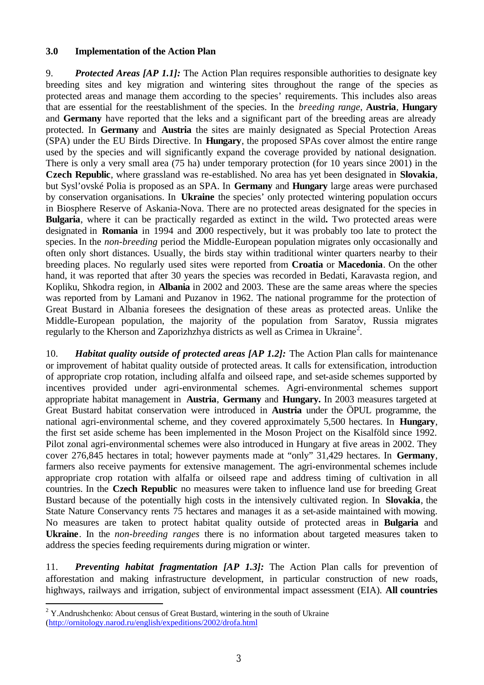## **3.0 Implementation of the Action Plan**

9. *Protected Areas [AP 1.1]:* The Action Plan requires responsible authorities to designate key breeding sites and key migration and wintering sites throughout the range of the species as protected areas and manage them according to the species' requirements. This includes also areas that are essential for the reestablishment of the species. In the *breeding range*, **Austria**, **Hungary** and **Germany** have reported that the leks and a significant part of the breeding areas are already protected. In **Germany** and **Austria** the sites are mainly designated as Special Protection Areas (SPA) under the EU Birds Directive. In **Hungary**, the proposed SPAs cover almost the entire range used by the species and will significantly expand the coverage provided by national designation. There is only a very small area (75 ha) under temporary protection (for 10 years since 2001) in the **Czech Republic**, where grassland was re-established. No area has yet been designated in **Slovakia**, but Sysl'ovské Polia is proposed as an SPA. In **Germany** and **Hungary** large areas were purchased by conservation organisations. In **Ukraine** the species' only protected wintering population occurs in Biosphere Reserve of Askania-Nova. There are no protected areas designated for the species in **Bulgaria**, where it can be practically regarded as extinct in the wild**.** Two protected areas were designated in **Romania** in 1994 and 2000 respectively, but it was probably too late to protect the species. In the *non-breeding* period the Middle-European population migrates only occasionally and often only short distances. Usually, the birds stay within traditional winter quarters nearby to their breeding places. No regularly used sites were reported from **Croatia** or **Macedonia**. On the other hand, it was reported that after 30 years the species was recorded in Bedati, Karavasta region, and Kopliku, Shkodra region, in **Albania** in 2002 and 2003. These are the same areas where the species was reported from by Lamani and Puzanov in 1962. The national programme for the protection of Great Bustard in Albania foresees the designation of these areas as protected areas. Unlike the Middle-European population, the majority of the population from Saratov, Russia migrates regularly to the Kherson and Zaporizhzhya districts as well as Crimea in Ukraine<sup>2</sup>.

10. *Habitat quality outside of protected areas [AP 1.2]:* The Action Plan calls for maintenance or improvement of habitat quality outside of protected areas. It calls for extensification, introduction of appropriate crop rotation, including alfalfa and oilseed rape, and set-aside schemes supported by incentives provided under agri-environmental schemes. Agri-environmental schemes support appropriate habitat management in **Austria**, **Germany** and **Hungary.** In 2003 measures targeted at Great Bustard habitat conservation were introduced in **Austria** under the ÖPUL programme, the national agri-environmental scheme, and they covered approximately 5,500 hectares. In **Hungary**, the first set aside scheme has been implemented in the Moson Project on the Kisalföld since 1992. Pilot zonal agri-environmental schemes were also introduced in Hungary at five areas in 2002. They cover 276,845 hectares in total; however payments made at "only" 31,429 hectares. In **Germany**, farmers also receive payments for extensive management. The agri-environmental schemes include appropriate crop rotation with alfalfa or oilseed rape and address timing of cultivation in all countries. In the **Czech Republic** no measures were taken to influence land use for breeding Great Bustard because of the potentially high costs in the intensively cultivated region. In **Slovakia**, the State Nature Conservancy rents 75 hectares and manages it as a set-aside maintained with mowing. No measures are taken to protect habitat quality outside of protected areas in **Bulgaria** and **Ukraine**. In the *non-breeding ranges* there is no information about targeted measures taken to address the species feeding requirements during migration or winter.

11. *Preventing habitat fragmentation [AP 1.3]:* The Action Plan calls for prevention of afforestation and making infrastructure development, in particular construction of new roads, highways, railways and irrigation, subject of environmental impact assessment (EIA). **All countries** 

 $\overline{a}$  $2$  Y.Andrushchenko: About census of Great Bustard, wintering in the south of Ukraine (http://ornitology.narod.ru/english/expeditions/2002/drofa.html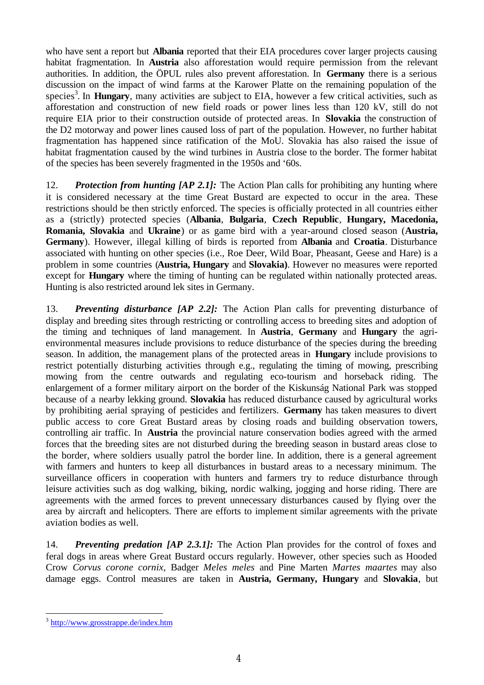who have sent a report but **Albania** reported that their EIA procedures cover larger projects causing habitat fragmentation. In **Austria** also afforestation would require permission from the relevant authorities. In addition, the ÖPUL rules also prevent afforestation. In **Germany** there is a serious discussion on the impact of wind farms at the Karower Platte on the remaining population of the species<sup>3</sup>. In **Hungary**, many activities are subject to EIA, however a few critical activities, such as afforestation and construction of new field roads or power lines less than 120 kV, still do not require EIA prior to their construction outside of protected areas. In **Slovakia** the construction of the D2 motorway and power lines caused loss of part of the population. However, no further habitat fragmentation has happened since ratification of the MoU. Slovakia has also raised the issue of habitat fragmentation caused by the wind turbines in Austria close to the border. The former habitat of the species has been severely fragmented in the 1950s and '60s.

12. *Protection from hunting [AP 2.1]:* The Action Plan calls for prohibiting any hunting where it is considered necessary at the time Great Bustard are expected to occur in the area. These restrictions should be then strictly enforced. The species is officially protected in all countries either as a (strictly) protected species (**Albania**, **Bulgaria**, **Czech Republic**, **Hungary, Macedonia, Romania, Slovakia** and **Ukraine**) or as game bird with a year-around closed season (**Austria, Germany**). However, illegal killing of birds is reported from **Albania** and **Croatia**. Disturbance associated with hunting on other species (i.e., Roe Deer, Wild Boar, Pheasant, Geese and Hare) is a problem in some countries (**Austria, Hungary** and **Slovakia)**. However no measures were reported except for **Hungary** where the timing of hunting can be regulated within nationally protected areas. Hunting is also restricted around lek sites in Germany.

13. *Preventing disturbance [AP 2.2]:* The Action Plan calls for preventing disturbance of display and breeding sites through restricting or controlling access to breeding sites and adoption of the timing and techniques of land management. In **Austria**, **Germany** and **Hungary** the agrienvironmental measures include provisions to reduce disturbance of the species during the breeding season. In addition, the management plans of the protected areas in **Hungary** include provisions to restrict potentially disturbing activities through e.g., regulating the timing of mowing, prescribing mowing from the centre outwards and regulating eco-tourism and horseback riding. The enlargement of a former military airport on the border of the Kiskunság National Park was stopped because of a nearby lekking ground. **Slovakia** has reduced disturbance caused by agricultural works by prohibiting aerial spraying of pesticides and fertilizers. **Germany** has taken measures to divert public access to core Great Bustard areas by closing roads and building observation towers, controlling air traffic. In **Austria** the provincial nature conservation bodies agreed with the armed forces that the breeding sites are not disturbed during the breeding season in bustard areas close to the border, where soldiers usually patrol the border line. In addition, there is a general agreement with farmers and hunters to keep all disturbances in bustard areas to a necessary minimum. The surveillance officers in cooperation with hunters and farmers try to reduce disturbance through leisure activities such as dog walking, biking, nordic walking, jogging and horse riding. There are agreements with the armed forces to prevent unnecessary disturbances caused by flying over the area by aircraft and helicopters. There are efforts to implement similar agreements with the private aviation bodies as well.

14. *Preventing predation [AP 2.3.1]:* The Action Plan provides for the control of foxes and feral dogs in areas where Great Bustard occurs regularly. However, other species such as Hooded Crow *Corvus corone cornix,* Badger *Meles meles* and Pine Marten *Martes maartes* may also damage eggs. Control measures are taken in **Austria, Germany, Hungary** and **Slovakia**, but

<sup>&</sup>lt;sup>3</sup> http://www.grosstrappe.de/index.htm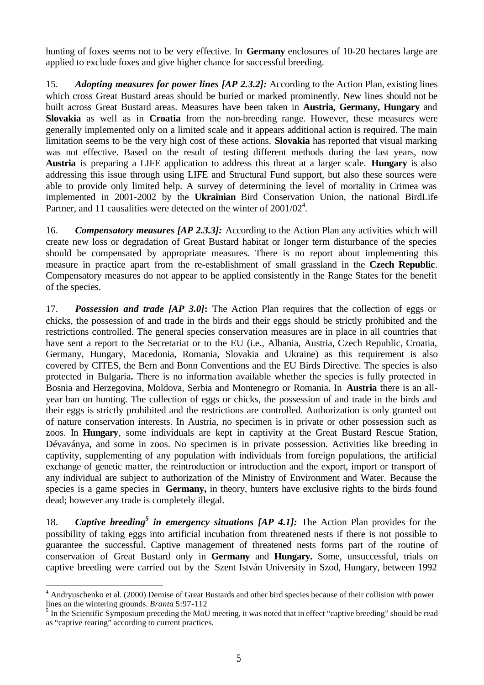hunting of foxes seems not to be very effective. In **Germany** enclosures of 10-20 hectares large are applied to exclude foxes and give higher chance for successful breeding.

15. *Adopting measures for power lines [AP 2.3.2]:* According to the Action Plan, existing lines which cross Great Bustard areas should be buried or marked prominently. New lines should not be built across Great Bustard areas. Measures have been taken in **Austria, Germany, Hungary** and **Slovakia** as well as in **Croatia** from the non-breeding range. However, these measures were generally implemented only on a limited scale and it appears additional action is required. The main limitation seems to be the very high cost of these actions. **Slovakia** has reported that visual marking was not effective. Based on the result of testing different methods during the last years, now **Austria** is preparing a LIFE application to address this threat at a larger scale. **Hungary** is also addressing this issue through using LIFE and Structural Fund support, but also these sources were able to provide only limited help. A survey of determining the level of mortality in Crimea was implemented in 2001-2002 by the **Ukrainian** Bird Conservation Union, the national BirdLife Partner, and 11 causalities were detected on the winter of 2001/02<sup>4</sup>.

16. *Compensatory measures [AP 2.3.3]:* According to the Action Plan any activities which will create new loss or degradation of Great Bustard habitat or longer term disturbance of the species should be compensated by appropriate measures. There is no report about implementing this measure in practice apart from the re-establishment of small grassland in the **Czech Republic**. Compensatory measures do not appear to be applied consistently in the Range States for the benefit of the species.

17. *Possession and trade [AP 3.0]***:** The Action Plan requires that the collection of eggs or chicks, the possession of and trade in the birds and their eggs should be strictly prohibited and the restrictions controlled. The general species conservation measures are in place in all countries that have sent a report to the Secretariat or to the EU (i.e., Albania, Austria, Czech Republic, Croatia, Germany, Hungary, Macedonia, Romania, Slovakia and Ukraine) as this requirement is also covered by CITES, the Bern and Bonn Conventions and the EU Birds Directive. The species is also protected in Bulgaria**.** There is no information available whether the species is fully protected in Bosnia and Herzegovina, Moldova, Serbia and Montenegro or Romania. In **Austria** there is an allyear ban on hunting. The collection of eggs or chicks, the possession of and trade in the birds and their eggs is strictly prohibited and the restrictions are controlled. Authorization is only granted out of nature conservation interests. In Austria, no specimen is in private or other possession such as zoos. In **Hungary**, some individuals are kept in captivity at the Great Bustard Rescue Station, Dévaványa, and some in zoos. No specimen is in private possession. Activities like breeding in captivity, supplementing of any population with individuals from foreign populations, the artificial exchange of genetic matter, the reintroduction or introduction and the export, import or transport of any individual are subject to authorization of the Ministry of Environment and Water. Because the species is a game species in **Germany,** in theory, hunters have exclusive rights to the birds found dead; however any trade is completely illegal.

18. Captive breeding<sup>5</sup> in emergency situations [AP 4.1]: The Action Plan provides for the possibility of taking eggs into artificial incubation from threatened nests if there is not possible to guarantee the successful. Captive management of threatened nests forms part of the routine of conservation of Great Bustard only in **Germany** and **Hungary.** Some, unsuccessful, trials on captive breeding were carried out by the Szent István University in Szod, Hungary, between 1992

 4 Andryuschenko et al. (2000) Demise of Great Bustards and other bird species because of their collision with power lines on the wintering grounds. *Branta* 5:97-112

<sup>&</sup>lt;sup>5</sup> In the Scientific Symposium preceding the MoU meeting, it was noted that in effect "captive breeding" should be read as "captive rearing" according to current practices.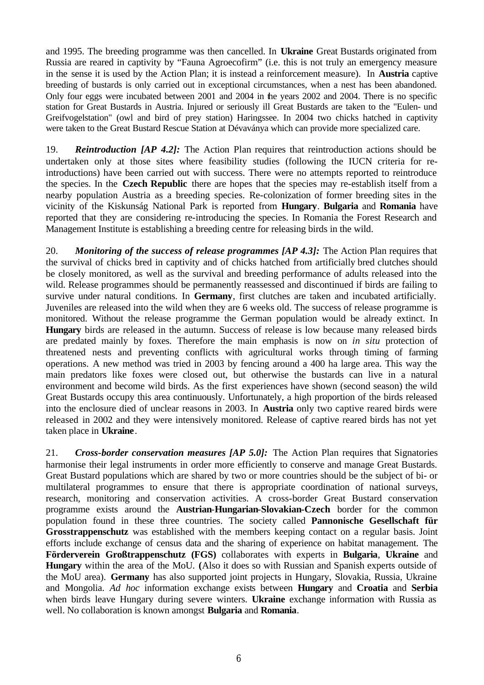and 1995. The breeding programme was then cancelled. In **Ukraine** Great Bustards originated from Russia are reared in captivity by "Fauna Agroecofirm" (i.e. this is not truly an emergency measure in the sense it is used by the Action Plan; it is instead a reinforcement measure). In **Austria** captive breeding of bustards is only carried out in exceptional circumstances, when a nest has been abandoned. Only four eggs were incubated between 2001 and 2004 in the years 2002 and 2004. There is no specific station for Great Bustards in Austria. Injured or seriously ill Great Bustards are taken to the "Eulen- und Greifvogelstation" (owl and bird of prey station) Haringssee. In 2004 two chicks hatched in captivity were taken to the Great Bustard Rescue Station at Dévaványa which can provide more specialized care.

19. *Reintroduction [AP 4.2]:* The Action Plan requires that reintroduction actions should be undertaken only at those sites where feasibility studies (following the IUCN criteria for reintroductions) have been carried out with success. There were no attempts reported to reintroduce the species. In the **Czech Republic** there are hopes that the species may re-establish itself from a nearby population Austria as a breeding species. Re-colonization of former breeding sites in the vicinity of the Kiskunság National Park is reported from **Hungary**. **Bulgaria** and **Romania** have reported that they are considering re-introducing the species. In Romania the Forest Research and Management Institute is establishing a breeding centre for releasing birds in the wild.

20. *Monitoring of the success of release programmes [AP 4.3]:* The Action Plan requires that the survival of chicks bred in captivity and of chicks hatched from artificially bred clutches should be closely monitored, as well as the survival and breeding performance of adults released into the wild. Release programmes should be permanently reassessed and discontinued if birds are failing to survive under natural conditions. In **Germany**, first clutches are taken and incubated artificially. Juveniles are released into the wild when they are 6 weeks old. The success of release programme is monitored. Without the release programme the German population would be already extinct. In **Hungary** birds are released in the autumn. Success of release is low because many released birds are predated mainly by foxes. Therefore the main emphasis is now on *in situ* protection of threatened nests and preventing conflicts with agricultural works through timing of farming operations. A new method was tried in 2003 by fencing around a 400 ha large area. This way the main predators like foxes were closed out, but otherwise the bustards can live in a natural environment and become wild birds. As the first experiences have shown (second season) the wild Great Bustards occupy this area continuously. Unfortunately, a high proportion of the birds released into the enclosure died of unclear reasons in 2003. In **Austria** only two captive reared birds were released in 2002 and they were intensively monitored. Release of captive reared birds has not yet taken place in **Ukraine**.

21. *Cross-border conservation measures [AP 5.0]:* The Action Plan requires that Signatories harmonise their legal instruments in order more efficiently to conserve and manage Great Bustards. Great Bustard populations which are shared by two or more countries should be the subject of bi- or multilateral programmes to ensure that there is appropriate coordination of national surveys, research, monitoring and conservation activities. A cross-border Great Bustard conservation programme exists around the **Austrian**-**Hungarian**-**Slovakian-Czech** border for the common population found in these three countries. The society called **Pannonische Gesellschaft für Grosstrappenschutz** was established with the members keeping contact on a regular basis. Joint efforts include exchange of census data and the sharing of experience on habitat management. The **Förderverein Großtrappenschutz (FGS)** collaborates with experts in **Bulgaria**, **Ukraine** and **Hungary** within the area of the MoU. **(**Also it does so with Russian and Spanish experts outside of the MoU area). **Germany** has also supported joint projects in Hungary, Slovakia, Russia, Ukraine and Mongolia. *Ad hoc* information exchange exists between **Hungary** and **Croatia** and **Serbia**  when birds leave Hungary during severe winters. **Ukraine** exchange information with Russia as well. No collaboration is known amongst **Bulgaria** and **Romania**.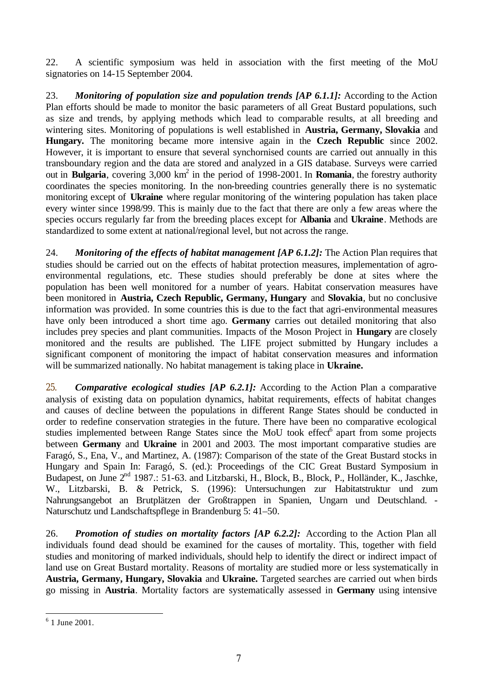22. A scientific symposium was held in association with the first meeting of the MoU signatories on 14-15 September 2004.

23. *Monitoring of population size and population trends [AP 6.1.1]:* According to the Action Plan efforts should be made to monitor the basic parameters of all Great Bustard populations, such as size and trends, by applying methods which lead to comparable results, at all breeding and wintering sites. Monitoring of populations is well established in **Austria, Germany, Slovakia** and **Hungary.** The monitoring became more intensive again in the **Czech Republic** since 2002. However, it is important to ensure that several synchornised counts are carried out annually in this transboundary region and the data are stored and analyzed in a GIS database. Surveys were carried out in **Bulgaria**, covering 3,000 km<sup>2</sup> in the period of 1998-2001. In **Romania**, the forestry authority coordinates the species monitoring. In the non-breeding countries generally there is no systematic monitoring except of **Ukraine** where regular monitoring of the wintering population has taken place every winter since 1998/99. This is mainly due to the fact that there are only a few areas where the species occurs regularly far from the breeding places except for **Albania** and **Ukraine**. Methods are standardized to some extent at national/regional level, but not across the range.

24. *Monitoring of the effects of habitat management [AP 6.1.2]:* The Action Plan requires that studies should be carried out on the effects of habitat protection measures, implementation of agroenvironmental regulations, etc. These studies should preferably be done at sites where the population has been well monitored for a number of years. Habitat conservation measures have been monitored in **Austria, Czech Republic, Germany, Hungary** and **Slovakia**, but no conclusive information was provided. In some countries this is due to the fact that agri-environmental measures have only been introduced a short time ago. **Germany** carries out detailed monitoring that also includes prey species and plant communities. Impacts of the Moson Project in **Hungary** are closely monitored and the results are published. The LIFE project submitted by Hungary includes a significant component of monitoring the impact of habitat conservation measures and information will be summarized nationally. No habitat management is taking place in **Ukraine.**

25. *Comparative ecological studies [AP 6.2.1]:* According to the Action Plan a comparative analysis of existing data on population dynamics, habitat requirements, effects of habitat changes and causes of decline between the populations in different Range States should be conducted in order to redefine conservation strategies in the future. There have been no comparative ecological studies implemented between Range States since the MoU took effect<sup>6</sup> apart from some projects between **Germany** and **Ukraine** in 2001 and 2003. The most important comparative studies are Faragó, S., Ena, V., and Martinez, A. (1987): Comparison of the state of the Great Bustard stocks in Hungary and Spain In: Faragó, S. (ed.): Proceedings of the CIC Great Bustard Symposium in Budapest, on June  $2^{nd}$  1987.: 51-63. and Litzbarski, H., Block, B., Block, P., Holländer, K., Jaschke, W., Litzbarski, B. & Petrick, S. (1996): Untersuchungen zur Habitatstruktur und zum Nahrungsangebot an Brutplätzen der Großtrappen in Spanien, Ungarn und Deutschland. - Naturschutz und Landschaftspflege in Brandenburg 5: 41–50.

26. *Promotion of studies on mortality factors [AP 6.2.2]:* According to the Action Plan all individuals found dead should be examined for the causes of mortality. This, together with field studies and monitoring of marked individuals, should help to identify the direct or indirect impact of land use on Great Bustard mortality. Reasons of mortality are studied more or less systematically in **Austria, Germany, Hungary, Slovakia** and **Ukraine.** Targeted searches are carried out when birds go missing in **Austria**. Mortality factors are systematically assessed in **Germany** using intensive

 6 1 June 2001.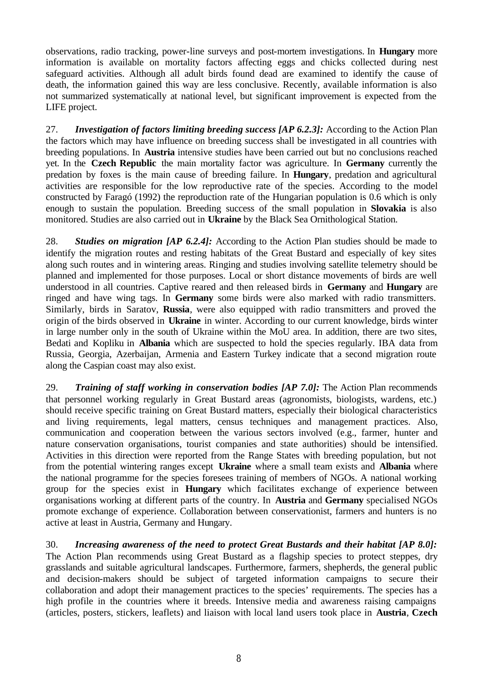observations, radio tracking, power-line surveys and post-mortem investigations. In **Hungary** more information is available on mortality factors affecting eggs and chicks collected during nest safeguard activities. Although all adult birds found dead are examined to identify the cause of death, the information gained this way are less conclusive. Recently, available information is also not summarized systematically at national level, but significant improvement is expected from the LIFE project.

27. *Investigation of factors limiting breeding success [AP 6.2.3]:* According to the Action Plan the factors which may have influence on breeding success shall be investigated in all countries with breeding populations. In **Austria** intensive studies have been carried out but no conclusions reached yet. In the **Czech Republic** the main mortality factor was agriculture. In **Germany** currently the predation by foxes is the main cause of breeding failure. In **Hungary**, predation and agricultural activities are responsible for the low reproductive rate of the species. According to the model constructed by Faragó (1992) the reproduction rate of the Hungarian population is 0.6 which is only enough to sustain the population. Breeding success of the small population in **Slovakia** is also monitored. Studies are also carried out in **Ukraine** by the Black Sea Ornithological Station.

28. *Studies on migration [AP 6.2.4]:* According to the Action Plan studies should be made to identify the migration routes and resting habitats of the Great Bustard and especially of key sites along such routes and in wintering areas. Ringing and studies involving satellite telemetry should be planned and implemented for those purposes. Local or short distance movements of birds are well understood in all countries. Captive reared and then released birds in **Germany** and **Hungary** are ringed and have wing tags. In **Germany** some birds were also marked with radio transmitters. Similarly, birds in Saratov, **Russia**, were also equipped with radio transmitters and proved the origin of the birds observed in **Ukraine** in winter. According to our current knowledge, birds winter in large number only in the south of Ukraine within the MoU area. In addition, there are two sites, Bedati and Kopliku in **Albania** which are suspected to hold the species regularly. IBA data from Russia, Georgia, Azerbaijan, Armenia and Eastern Turkey indicate that a second migration route along the Caspian coast may also exist.

29. *Training of staff working in conservation bodies [AP 7.0]:* The Action Plan recommends that personnel working regularly in Great Bustard areas (agronomists, biologists, wardens, etc.) should receive specific training on Great Bustard matters, especially their biological characteristics and living requirements, legal matters, census techniques and management practices. Also, communication and cooperation between the various sectors involved (e.g., farmer, hunter and nature conservation organisations, tourist companies and state authorities) should be intensified. Activities in this direction were reported from the Range States with breeding population, but not from the potential wintering ranges except **Ukraine** where a small team exists and **Albania** where the national programme for the species foresees training of members of NGOs. A national working group for the species exist in **Hungary** which facilitates exchange of experience between organisations working at different parts of the country. In **Austria** and **Germany** specialised NGOs promote exchange of experience. Collaboration between conservationist, farmers and hunters is no active at least in Austria, Germany and Hungary.

30. *Increasing awareness of the need to protect Great Bustards and their habitat [AP 8.0]:*  The Action Plan recommends using Great Bustard as a flagship species to protect steppes, dry grasslands and suitable agricultural landscapes. Furthermore, farmers, shepherds, the general public and decision-makers should be subject of targeted information campaigns to secure their collaboration and adopt their management practices to the species' requirements. The species has a high profile in the countries where it breeds. Intensive media and awareness raising campaigns (articles, posters, stickers, leaflets) and liaison with local land users took place in **Austria**, **Czech**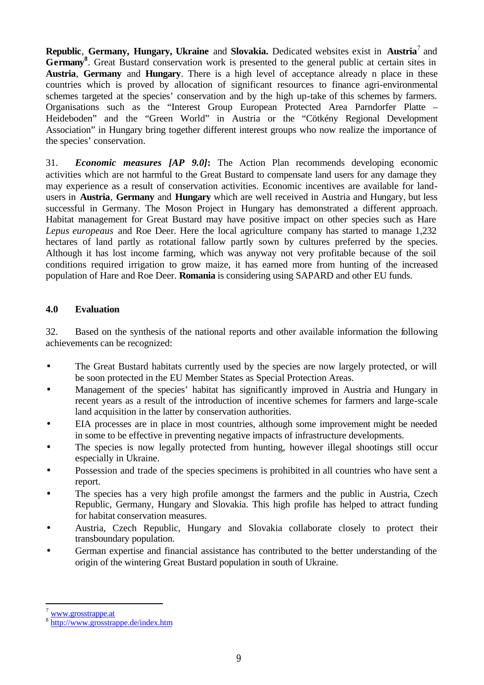**Republic**, **Germany, Hungary, Ukraine** and **Slovakia.** Dedicated websites exist in **Austria**<sup>7</sup> and Germany<sup>8</sup>. Great Bustard conservation work is presented to the general public at certain sites in **Austria**, **Germany** and **Hungary**. There is a high level of acceptance already n place in these countries which is proved by allocation of significant resources to finance agri-environmental schemes targeted at the species' conservation and by the high up-take of this schemes by farmers. Organisations such as the "Interest Group European Protected Area Parndorfer Platte – Heideboden" and the "Green World" in Austria or the "Cötkény Regional Development Association" in Hungary bring together different interest groups who now realize the importance of the species' conservation.

31. *Economic measures [AP 9.0]***:** The Action Plan recommends developing economic activities which are not harmful to the Great Bustard to compensate land users for any damage they may experience as a result of conservation activities. Economic incentives are available for landusers in **Austria**, **Germany** and **Hungary** which are well received in Austria and Hungary, but less successful in Germany. The Moson Project in Hungary has demonstrated a different approach. Habitat management for Great Bustard may have positive impact on other species such as Hare *Lepus europeaus* and Roe Deer. Here the local agriculture company has started to manage 1,232 hectares of land partly as rotational fallow partly sown by cultures preferred by the species. Although it has lost income farming, which was anyway not very profitable because of the soil conditions required irrigation to grow maize, it has earned more from hunting of the increased population of Hare and Roe Deer. **Romania** is considering using SAPARD and other EU funds.

## **4.0 Evaluation**

32. Based on the synthesis of the national reports and other available information the following achievements can be recognized:

- The Great Bustard habitats currently used by the species are now largely protected, or will be soon protected in the EU Member States as Special Protection Areas.
- Management of the species' habitat has significantly improved in Austria and Hungary in recent years as a result of the introduction of incentive schemes for farmers and large-scale land acquisition in the latter by conservation authorities.
- EIA processes are in place in most countries, although some improvement might be needed in some to be effective in preventing negative impacts of infrastructure developments.
- The species is now legally protected from hunting, however illegal shootings still occur especially in Ukraine.
- Possession and trade of the species specimens is prohibited in all countries who have sent a report.
- The species has a very high profile amongst the farmers and the public in Austria, Czech Republic, Germany, Hungary and Slovakia. This high profile has helped to attract funding for habitat conservation measures.
- Austria, Czech Republic, Hungary and Slovakia collaborate closely to protect their transboundary population.
- German expertise and financial assistance has contributed to the better understanding of the origin of the wintering Great Bustard population in south of Ukraine.

 $\overline{a}$ 

www.grosstrappe.at

<sup>8</sup> http://www.grosstrappe.de/index.htm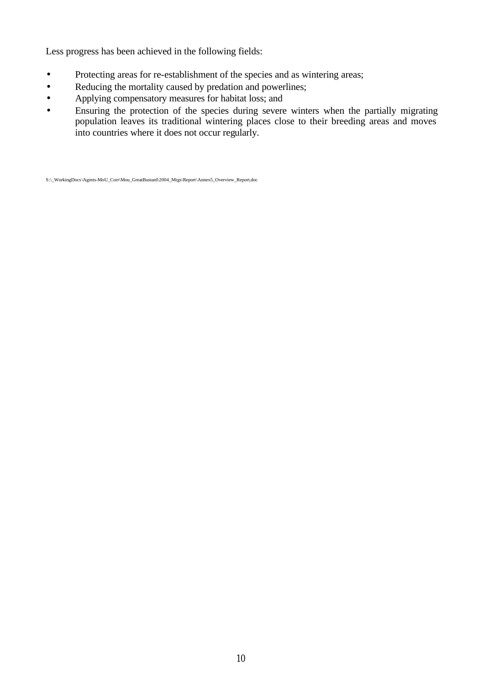Less progress has been achieved in the following fields:

- Protecting areas for re-establishment of the species and as wintering areas;
- Reducing the mortality caused by predation and powerlines;
- Applying compensatory measures for habitat loss; and
- Ensuring the protection of the species during severe winters when the partially migrating population leaves its traditional wintering places close to their breeding areas and moves into countries where it does not occur regularly.

S:\\_WorkingDocs\Agmts-MoU\_Corr\Mou\_GreatBustard\2004\_Mtgs\Report\Annex5\_Overview\_Report.doc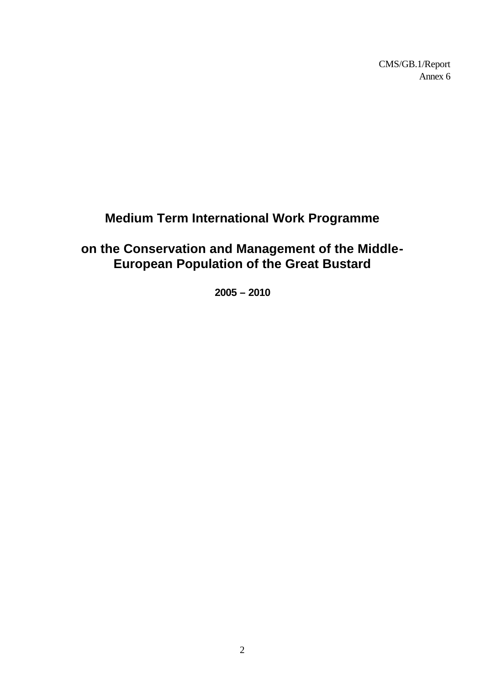CMS/GB.1/Report Annex 6

# **Medium Term International Work Programme**

# **on the Conservation and Management of the Middle-European Population of the Great Bustard**

**2005 – 2010**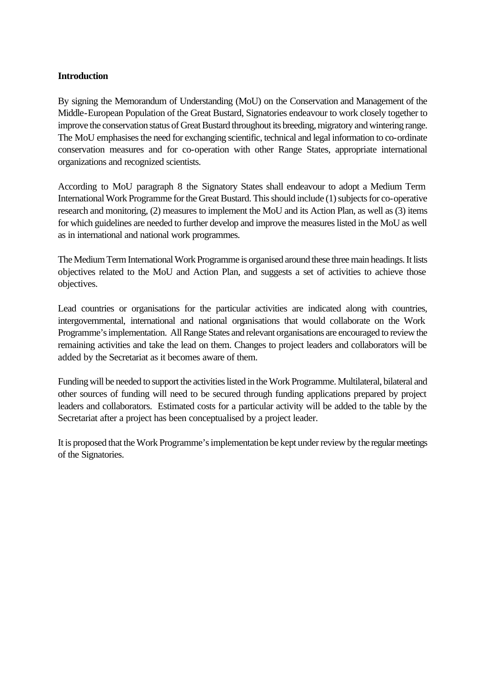## **Introduction**

By signing the Memorandum of Understanding (MoU) on the Conservation and Management of the Middle-European Population of the Great Bustard, Signatories endeavour to work closely together to improve the conservation status of Great Bustard throughout its breeding, migratory and wintering range. The MoU emphasises the need for exchanging scientific, technical and legal information to co-ordinate conservation measures and for co-operation with other Range States, appropriate international organizations and recognized scientists.

According to MoU paragraph 8 the Signatory States shall endeavour to adopt a Medium Term International Work Programme for the Great Bustard. This should include (1) subjects for co-operative research and monitoring, (2) measures to implement the MoU and its Action Plan, as well as (3) items for which guidelines are needed to further develop and improve the measures listed in the MoU as well as in international and national work programmes.

The Medium Term International Work Programme is organised around these three main headings. It lists objectives related to the MoU and Action Plan, and suggests a set of activities to achieve those objectives.

Lead countries or organisations for the particular activities are indicated along with countries, intergovernmental, international and national organisations that would collaborate on the Work Programme's implementation. All Range States and relevant organisations are encouraged to review the remaining activities and take the lead on them. Changes to project leaders and collaborators will be added by the Secretariat as it becomes aware of them.

Funding will be needed to support the activities listed in the Work Programme. Multilateral, bilateral and other sources of funding will need to be secured through funding applications prepared by project leaders and collaborators. Estimated costs for a particular activity will be added to the table by the Secretariat after a project has been conceptualised by a project leader.

It is proposed that the Work Programme's implementation be kept under review by the regular meetings of the Signatories.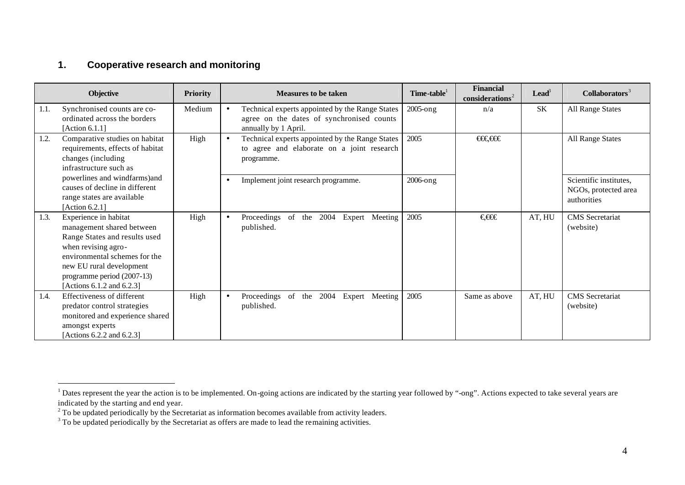# **1. Cooperative research and monitoring**

l

|      | <b>Objective</b>                                                                                                                                                                                                                   | <b>Priority</b> |           | <b>Measures to be taken</b>                                                                                          | Time-table <sup>1</sup> | <b>Financial</b><br>considerations <sup>2</sup> | $\textbf{lead}^3$ | Collaborators <sup>3</sup>                                    |
|------|------------------------------------------------------------------------------------------------------------------------------------------------------------------------------------------------------------------------------------|-----------------|-----------|----------------------------------------------------------------------------------------------------------------------|-------------------------|-------------------------------------------------|-------------------|---------------------------------------------------------------|
| 1.1. | Synchronised counts are co-<br>ordinated across the borders<br>[Action $6.1.1$ ]                                                                                                                                                   | Medium          | $\bullet$ | Technical experts appointed by the Range States<br>agree on the dates of synchronised counts<br>annually by 1 April. | $2005$ -ong             | n/a                                             | SK                | <b>All Range States</b>                                       |
| 1.2. | Comparative studies on habitat<br>requirements, effects of habitat<br>changes (including<br>infrastructure such as                                                                                                                 | High            | $\bullet$ | Technical experts appointed by the Range States<br>to agree and elaborate on a joint research<br>programme.          | 2005                    | $\theta$                                        |                   | All Range States                                              |
|      | powerlines and windfarms)and<br>causes of decline in different<br>range states are available<br>[Action 6.2.1]                                                                                                                     |                 | $\bullet$ | Implement joint research programme.                                                                                  | 2006-ong                |                                                 |                   | Scientific institutes,<br>NGOs, protected area<br>authorities |
| 1.3. | Experience in habitat<br>management shared between<br>Range States and results used<br>when revising agro-<br>environmental schemes for the<br>new EU rural development<br>programme period (2007-13)<br>[Actions 6.1.2 and 6.2.3] | High            | $\bullet$ | of the 2004 Expert Meeting<br>Proceedings<br>published.                                                              | 2005                    | €€€                                             | AT, HU            | <b>CMS</b> Secretariat<br>(website)                           |
| 1.4. | Effectiveness of different<br>predator control strategies<br>monitored and experience shared<br>amongst experts<br>[Actions 6.2.2 and 6.2.3]                                                                                       | High            | $\bullet$ | of the 2004 Expert Meeting<br>Proceedings<br>published.                                                              | 2005                    | Same as above                                   | AT, HU            | <b>CMS</b> Secretariat<br>(website)                           |

 $1$  Dates represent the year the action is to be implemented. On-going actions are indicated by the starting year followed by "-ong". Actions expected to take several years are

indicated by the starting and end year.<br><sup>2</sup> To be updated periodically by the Secretariat as information becomes available from activity leaders.<br><sup>3</sup> To be updated periodically by the Secretariat as offers are made to lea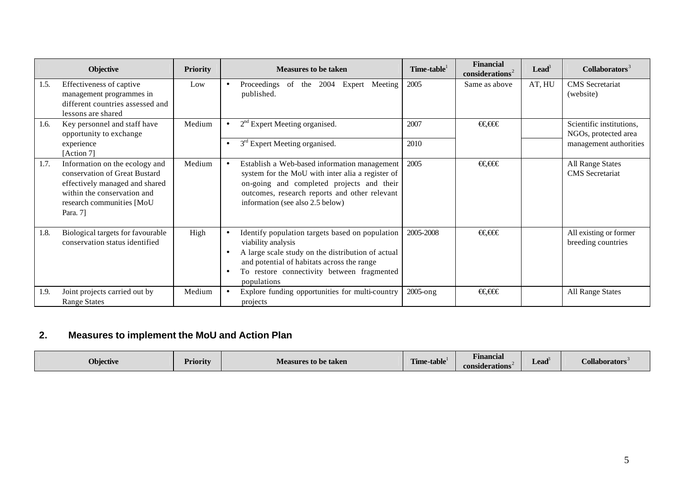|      | <b>Objective</b>                                                                                                                                                          | <b>Priority</b> | <b>Measures to be taken</b>                                                                                                                                                                                                                                     | Time-table <sup>1</sup> | <b>Financial</b><br>$\mathbf{considerations}^2$ | $\textbf{lead}^3$ | Collaborators <sup>3</sup>                        |
|------|---------------------------------------------------------------------------------------------------------------------------------------------------------------------------|-----------------|-----------------------------------------------------------------------------------------------------------------------------------------------------------------------------------------------------------------------------------------------------------------|-------------------------|-------------------------------------------------|-------------------|---------------------------------------------------|
| 1.5. | Effectiveness of captive<br>management programmes in<br>different countries assessed and<br>lessons are shared                                                            | Low             | Proceedings of the<br>2004 Expert Meeting<br>$\bullet$<br>published.                                                                                                                                                                                            | 2005                    | Same as above                                   | AT, HU            | <b>CMS</b> Secretariat<br>(website)               |
| 1.6. | Key personnel and staff have<br>opportunity to exchange                                                                                                                   | Medium          | $2nd$ Expert Meeting organised.<br>$\bullet$                                                                                                                                                                                                                    | 2007                    | €€€€                                            |                   | Scientific institutions,<br>NGOs, protected area  |
|      | experience<br>[Action 7]                                                                                                                                                  |                 | 3 <sup>rd</sup> Expert Meeting organised.<br>$\bullet$                                                                                                                                                                                                          | 2010                    |                                                 |                   | management authorities                            |
| 1.7. | Information on the ecology and<br>conservation of Great Bustard<br>effectively managed and shared<br>within the conservation and<br>research communities [MoU<br>Para. 7] | Medium          | Establish a Web-based information management<br>$\bullet$<br>system for the MoU with inter alia a register of<br>on-going and completed projects and their<br>outcomes, research reports and other relevant<br>information (see also 2.5 below)                 | 2005                    | €€€€                                            |                   | <b>All Range States</b><br><b>CMS</b> Secretariat |
| 1.8. | Biological targets for favourable<br>conservation status identified                                                                                                       | High            | Identify population targets based on population<br>$\bullet$<br>viability analysis<br>A large scale study on the distribution of actual<br>$\bullet$<br>and potential of habitats across the range<br>To restore connectivity between fragmented<br>populations | 2005-2008               | €€€€                                            |                   | All existing or former<br>breeding countries      |
| 1.9. | Joint projects carried out by<br><b>Range States</b>                                                                                                                      | Medium          | Explore funding opportunities for multi-country<br>$\bullet$<br>projects                                                                                                                                                                                        | $2005$ -ong             | €€€€                                            |                   | <b>All Range States</b>                           |

# **2. Measures to implement the MoU and Action Plan**

| Objective | <b>Priority</b> | <b>Measures to be taken</b> | <b>FIRE</b><br>$\sim$ $\sim$<br>:-table<br>Tım | $\overline{\phantom{a}}$<br><b>Hinancial</b><br><b>considerations</b> | Lead<br>--- | <i>C</i> ollaborators |
|-----------|-----------------|-----------------------------|------------------------------------------------|-----------------------------------------------------------------------|-------------|-----------------------|
|-----------|-----------------|-----------------------------|------------------------------------------------|-----------------------------------------------------------------------|-------------|-----------------------|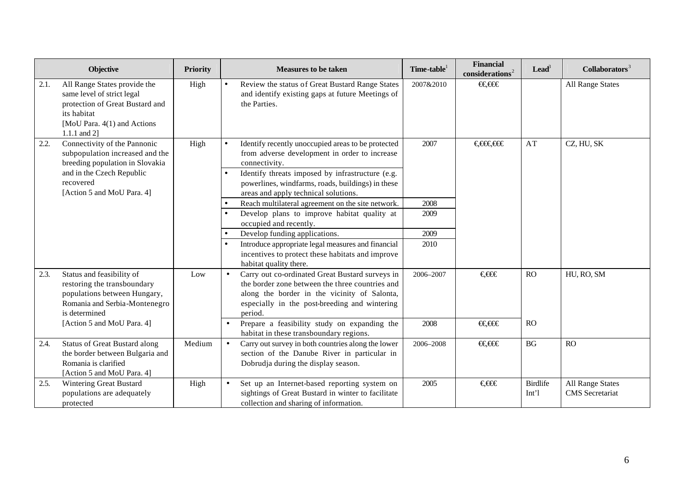|      | <b>Objective</b>                                                                                                                                                           | <b>Priority</b> | <b>Measures to be taken</b>                                                                                                                                                                                                                                                                     | Time-table <sup>1</sup> | <b>Financial</b><br>considerations <sup>2</sup> | $\textbf{lead}^3$                   | Collaborators <sup>3</sup>                        |
|------|----------------------------------------------------------------------------------------------------------------------------------------------------------------------------|-----------------|-------------------------------------------------------------------------------------------------------------------------------------------------------------------------------------------------------------------------------------------------------------------------------------------------|-------------------------|-------------------------------------------------|-------------------------------------|---------------------------------------------------|
| 2.1. | All Range States provide the<br>same level of strict legal<br>protection of Great Bustard and<br>its habitat<br>[MoU Para. 4(1) and Actions<br>1.1.1 and $2$ ]             | High            | Review the status of Great Bustard Range States<br>$\bullet$<br>and identify existing gaps at future Meetings of<br>the Parties.                                                                                                                                                                | 2007&2010               | €€€€                                            |                                     | <b>All Range States</b>                           |
| 2.2. | Connectivity of the Pannonic<br>subpopulation increased and the<br>breeding population in Slovakia<br>and in the Czech Republic<br>recovered<br>[Action 5 and MoU Para. 4] | High            | Identify recently unoccupied areas to be protected<br>$\bullet$<br>from adverse development in order to increase<br>connectivity.<br>Identify threats imposed by infrastructure (e.g.<br>$\bullet$<br>powerlines, windfarms, roads, buildings) in these<br>areas and apply technical solutions. | 2007                    | €€€€€€                                          | AT                                  | CZ, HU, SK                                        |
|      |                                                                                                                                                                            |                 | Reach multilateral agreement on the site network.<br>$\bullet$                                                                                                                                                                                                                                  | 2008                    |                                                 |                                     |                                                   |
|      |                                                                                                                                                                            |                 | Develop plans to improve habitat quality at<br>$\bullet$<br>occupied and recently.                                                                                                                                                                                                              | 2009                    |                                                 |                                     |                                                   |
|      |                                                                                                                                                                            |                 | Develop funding applications.                                                                                                                                                                                                                                                                   | 2009                    |                                                 |                                     |                                                   |
|      |                                                                                                                                                                            |                 | Introduce appropriate legal measures and financial<br>incentives to protect these habitats and improve<br>habitat quality there.                                                                                                                                                                | 2010                    |                                                 |                                     |                                                   |
| 2.3. | Status and feasibility of<br>restoring the transboundary<br>populations between Hungary,<br>Romania and Serbia-Montenegro<br>is determined                                 | Low             | Carry out co-ordinated Great Bustard surveys in<br>the border zone between the three countries and<br>along the border in the vicinity of Salonta,<br>especially in the post-breeding and wintering<br>period.                                                                                  | 2006-2007               | €€€                                             | RO                                  | HU, RO, SM                                        |
|      | [Action 5 and MoU Para. 4]                                                                                                                                                 |                 | Prepare a feasibility study on expanding the<br>habitat in these transboundary regions.                                                                                                                                                                                                         | 2008                    | €€€€                                            | RO                                  |                                                   |
| 2.4. | <b>Status of Great Bustard along</b><br>the border between Bulgaria and<br>Romania is clarified<br>[Action 5 and MoU Para. 4]                                              | Medium          | Carry out survey in both countries along the lower<br>section of the Danube River in particular in<br>Dobrudja during the display season.                                                                                                                                                       | 2006-2008               | €€€€                                            | BG                                  | RO                                                |
| 2.5. | Wintering Great Bustard<br>populations are adequately<br>protected                                                                                                         | High            | Set up an Internet-based reporting system on<br>sightings of Great Bustard in winter to facilitate<br>collection and sharing of information.                                                                                                                                                    | 2005                    | €€€                                             | <b>Birdlife</b><br>Int <sup>1</sup> | <b>All Range States</b><br><b>CMS</b> Secretariat |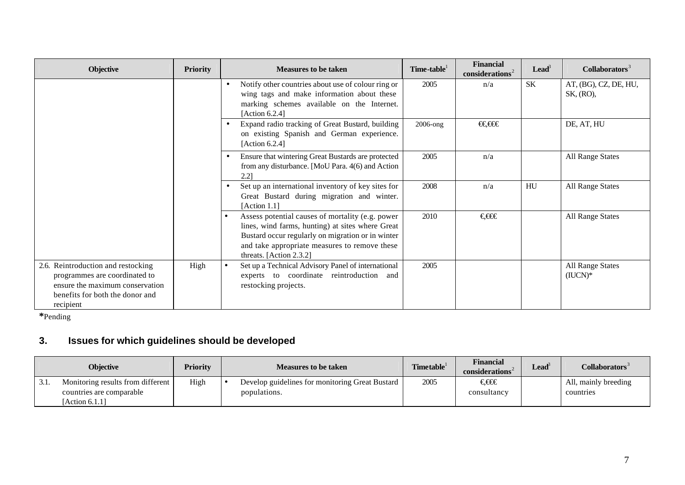| <b>Objective</b>                                                                                                                                       | <b>Priority</b> | <b>Measures to be taken</b>                                                                                                                                                                                                           | Time-table  | <b>Financial</b><br>considerations <sup>2</sup> | $\textbf{lead}^3$ | Collaborators <sup>3</sup>           |
|--------------------------------------------------------------------------------------------------------------------------------------------------------|-----------------|---------------------------------------------------------------------------------------------------------------------------------------------------------------------------------------------------------------------------------------|-------------|-------------------------------------------------|-------------------|--------------------------------------|
|                                                                                                                                                        |                 | Notify other countries about use of colour ring or<br>$\bullet$<br>wing tags and make information about these<br>marking schemes available on the Internet.<br>[Action $6.2.4$ ]                                                      | 2005        | n/a                                             | <b>SK</b>         | AT, (BG), CZ, DE, HU,<br>SK, (RO),   |
|                                                                                                                                                        |                 | Expand radio tracking of Great Bustard, building<br>$\bullet$<br>on existing Spanish and German experience.<br>[Action 6.2.4]                                                                                                         | $2006$ -ong | €€€€                                            |                   | DE, AT, HU                           |
|                                                                                                                                                        |                 | Ensure that wintering Great Bustards are protected<br>$\bullet$<br>from any disturbance. [MoU Para. 4(6) and Action<br>2.21                                                                                                           | 2005        | n/a                                             |                   | All Range States                     |
|                                                                                                                                                        |                 | Set up an international inventory of key sites for<br>Great Bustard during migration and winter.<br>[Action 1.1]                                                                                                                      | 2008        | n/a                                             | HU                | <b>All Range States</b>              |
|                                                                                                                                                        |                 | Assess potential causes of mortality (e.g. power<br>lines, wind farms, hunting) at sites where Great<br>Bustard occur regularly on migration or in winter<br>and take appropriate measures to remove these<br>threats. [Action 2.3.2] | 2010        | €€€                                             |                   | <b>All Range States</b>              |
| 2.6. Reintroduction and restocking<br>programmes are coordinated to<br>ensure the maximum conservation<br>benefits for both the donor and<br>recipient | High            | Set up a Technical Advisory Panel of international<br>experts to coordinate reintroduction<br>and<br>restocking projects.                                                                                                             | 2005        |                                                 |                   | <b>All Range States</b><br>$(IUCN)*$ |

**\***Pending

# **3. Issues for which guidelines should be developed**

|     | <b>Obiective</b>                  | <b>Priority</b> | <b>Measures to be taken</b>                     | <b>Timetable</b> | <b>Financial</b><br>considerations <sup>*</sup> | $\text{Lead}^{\circ}$ | $\mathbf C$ ollaborators $^{\mathbb Z}$ |
|-----|-----------------------------------|-----------------|-------------------------------------------------|------------------|-------------------------------------------------|-----------------------|-----------------------------------------|
| 3.1 | Monitoring results from different | High            | Develop guidelines for monitoring Great Bustard | 2005             | €€€                                             |                       | All, mainly breeding                    |
|     | countries are comparable          |                 | populations.                                    |                  | consultancy                                     |                       | countries                               |
|     | Action 6.1.11                     |                 |                                                 |                  |                                                 |                       |                                         |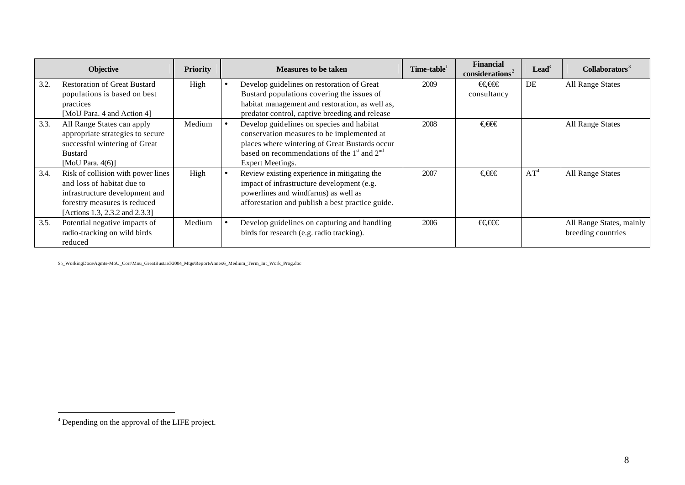|      | <b>Objective</b>                                                                                                                                                     | <b>Priority</b> | <b>Measures to be taken</b>                                                                                                                                                                                      | Time-table | <b>Financial</b><br>considerations <sup>2</sup> | $\mathbf{L}\mathbf{e}\mathbf{a}\mathbf{d}^3$ | Collaborators <sup>3</sup>                     |
|------|----------------------------------------------------------------------------------------------------------------------------------------------------------------------|-----------------|------------------------------------------------------------------------------------------------------------------------------------------------------------------------------------------------------------------|------------|-------------------------------------------------|----------------------------------------------|------------------------------------------------|
| 3.2. | <b>Restoration of Great Bustard</b><br>populations is based on best<br>practices<br>[MoU Para. 4 and Action 4]                                                       | High            | Develop guidelines on restoration of Great<br>Bustard populations covering the issues of<br>habitat management and restoration, as well as,<br>predator control, captive breeding and release                    | 2009       | €€€€<br>consultancy                             | DE                                           | All Range States                               |
| 3.3. | All Range States can apply<br>appropriate strategies to secure<br>successful wintering of Great<br><b>Bustard</b><br>[MoU Para. $4(6)$ ]                             | Medium          | Develop guidelines on species and habitat<br>conservation measures to be implemented at<br>places where wintering of Great Bustards occur<br>based on recommendations of the $1st$ and $2nd$<br>Expert Meetings. | 2008       | €€€                                             |                                              | All Range States                               |
| 3.4. | Risk of collision with power lines<br>and loss of habitat due to<br>infrastructure development and<br>forestry measures is reduced<br>[Actions 1.3, 2.3.2 and 2.3.3] | High            | Review existing experience in mitigating the<br>impact of infrastructure development (e.g.<br>powerlines and windfarms) as well as<br>afforestation and publish a best practice guide.                           | 2007       | €€€                                             | $AT^4$                                       | All Range States                               |
| 3.5. | Potential negative impacts of<br>radio-tracking on wild birds<br>reduced                                                                                             | Medium          | Develop guidelines on capturing and handling<br>birds for research (e.g. radio tracking).                                                                                                                        | 2006       | €€€€                                            |                                              | All Range States, mainly<br>breeding countries |

S:\\_WorkingDocs\Agmts-MoU\_Corr\Mou\_GreatBustard\2004\_Mtgs\Report\Annex6\_Medium\_Term\_Int\_Work\_Prog.doc

 $\overline{\phantom{0}}$ 

 4 Depending on the approval of the LIFE project.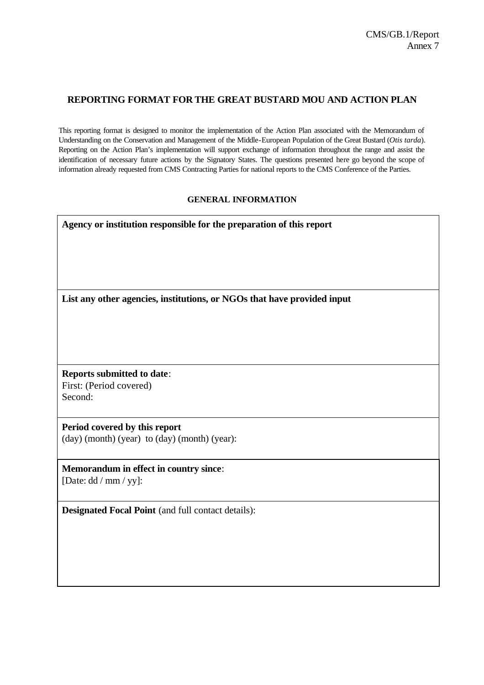## **REPORTING FORMAT FOR THE GREAT BUSTARD MOU AND ACTION PLAN**

This reporting format is designed to monitor the implementation of the Action Plan associated with the Memorandum of Understanding on the Conservation and Management of the Middle-European Population of the Great Bustard (*Otis tarda*). Reporting on the Action Plan's implementation will support exchange of information throughout the range and assist the identification of necessary future actions by the Signatory States. The questions presented here go beyond the scope of information already requested from CMS Contracting Parties for national reports to the CMS Conference of the Parties.

#### **GENERAL INFORMATION**

| Agency or institution responsible for the preparation of this report    |
|-------------------------------------------------------------------------|
| List any other agencies, institutions, or NGOs that have provided input |
|                                                                         |
| <b>Reports submitted to date:</b>                                       |
| First: (Period covered)                                                 |
| Second:                                                                 |
| Period covered by this report                                           |
| $(\text{day})$ (month) (year) to $(\text{day})$ (month) (year):         |
| <b>Memorandum in effect in country since:</b><br>[Date: dd / mm / yy]:  |

**Designated Focal Point** (and full contact details):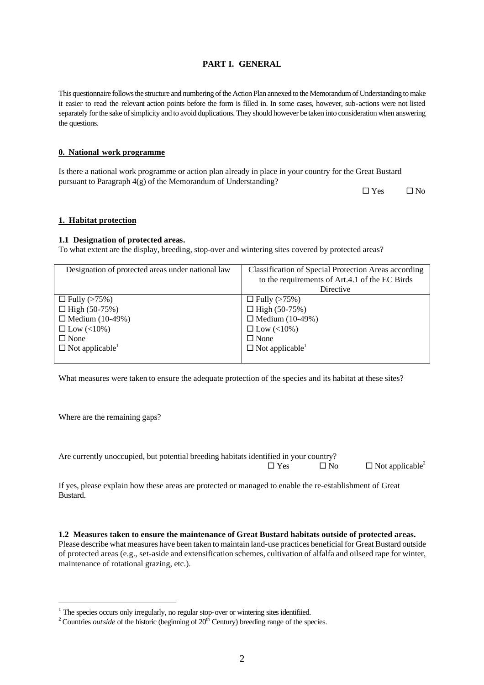2

## **PART I. GENERAL**

This questionnaire follows the structure and numbering of the Action Plan annexed to the Memorandum of Understanding to make it easier to read the relevant action points before the form is filled in. In some cases, however, sub-actions were not listed separately for the sake of simplicity and to avoid duplications. They should however be taken into consideration when answering the questions.

#### **0. National work programme**

Is there a national work programme or action plan already in place in your country for the Great Bustard pursuant to Paragraph 4(g) of the Memorandum of Understanding?

 $\Box$  Yes  $\Box$  No

#### **1. Habitat protection**

#### **1.1 Designation of protected areas.**

To what extent are the display, breeding, stop-over and wintering sites covered by protected areas?

| Designation of protected areas under national law | Classification of Special Protection Areas according |
|---------------------------------------------------|------------------------------------------------------|
|                                                   | to the requirements of Art.4.1 of the EC Birds       |
|                                                   | Directive                                            |
| $\Box$ Fully (>75%)                               | $\Box$ Fully (>75%)                                  |
| $\Box$ High (50-75%)                              | □ High $(50-75%)$                                    |
| $\Box$ Medium (10-49%)                            | $\Box$ Medium (10-49%)                               |
| $\Box$ Low (<10%)                                 | $\Box$ Low (<10%)                                    |
| $\Box$ None                                       | $\Box$ None                                          |
| $\Box$ Not applicable <sup>1</sup>                | $\Box$ Not applicable <sup>1</sup>                   |
|                                                   |                                                      |

What measures were taken to ensure the adequate protection of the species and its habitat at these sites?

Where are the remaining gaps?

 $\overline{a}$ 

Are currently unoccupied, but potential breeding habitats identified in your country?

 $\square$  Yes  $\square$  No  $\square$  Not applicable<sup>2</sup>

If yes, please explain how these areas are protected or managed to enable the re-establishment of Great Bustard.

**1.2 Measures taken to ensure the maintenance of Great Bustard habitats outside of protected areas.** Please describe what measures have been taken to maintain land-use practices beneficial for Great Bustard outside of protected areas (e.g., set-aside and extensification schemes, cultivation of alfalfa and oilseed rape for winter, maintenance of rotational grazing, etc.).

 $1$  The species occurs only irregularly, no regular stop-over or wintering sites identified.

<sup>&</sup>lt;sup>2</sup> Countries *outside* of the historic (beginning of 20<sup>th</sup> Century) breeding range of the species.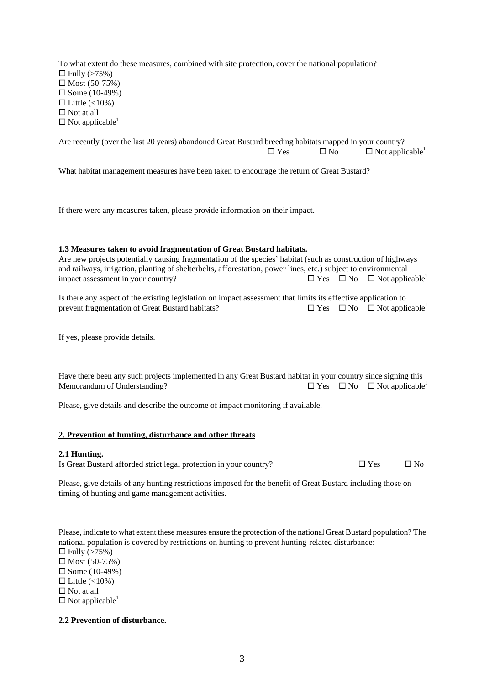To what extent do these measures, combined with site protection, cover the national population?  $\Box$  Fully (>75%)  $\square$  Most (50-75%)  $\square$  Some (10-49%)  $\Box$  Little (<10%)  $\square$  Not at all  $\square$  Not applicable<sup>1</sup>

Are recently (over the last 20 years) abandoned Great Bustard breeding habitats mapped in your country?  $\square$  Yes  $\square$  No  $\square$  Not applicable<sup>1</sup>

What habitat management measures have been taken to encourage the return of Great Bustard?

If there were any measures taken, please provide information on their impact.

#### **1.3 Measures taken to avoid fragmentation of Great Bustard habitats.**

Are new projects potentially causing fragmentation of the species' habitat (such as construction of highways and railways, irrigation, planting of shelterbelts, afforestation, power lines, etc.) subject to environmental impact assessment in your country?  $\square$  Yes  $\square$  No  $\square$  Not applicable<sup>1</sup>

Is there any aspect of the existing legislation on impact assessment that limits its effective application to prevent fragmentation of Great Bustard habitats?  $\square$  Yes  $\square$  No  $\square$  Not applicable<sup>1</sup>

If yes, please provide details.

Have there been any such projects implemented in any Great Bustard habitat in your country since signing this Memorandum of Understanding?  $\square$  Yes  $\square$  No  $\square$  Not applicable<sup>1</sup>

Please, give details and describe the outcome of impact monitoring if available.

#### **2. Prevention of hunting, disturbance and other threats**

#### **2.1 Hunting.**

Is Great Bustard afforded strict legal protection in your country?  $\square$  Yes  $\square$  No

Please, give details of any hunting restrictions imposed for the benefit of Great Bustard including those on timing of hunting and game management activities.

Please, indicate to what extent these measures ensure the protection of the national Great Bustard population? The national population is covered by restrictions on hunting to prevent hunting-related disturbance:  $\Box$  Fully (>75%)  $\square$  Most (50-75%)

 $\Box$  Some (10-49%)

 $\Box$  Little (<10%)

 $\square$  Not at all

 $\square$  Not applicable<sup>1</sup>

#### **2.2 Prevention of disturbance.**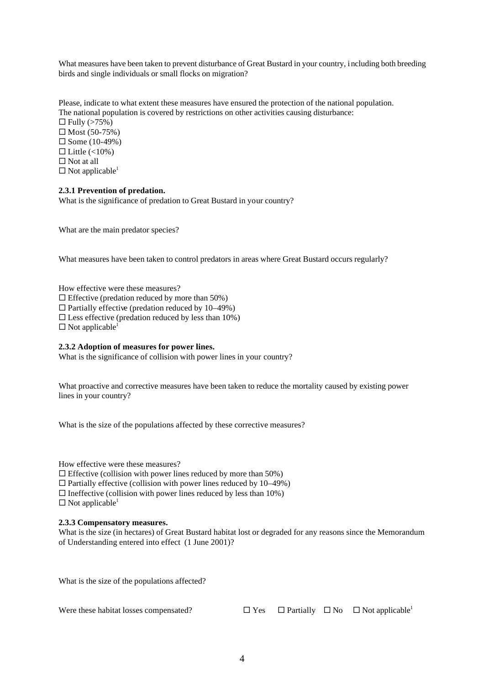What measures have been taken to prevent disturbance of Great Bustard in your country, including both breeding birds and single individuals or small flocks on migration?

Please, indicate to what extent these measures have ensured the protection of the national population. The national population is covered by restrictions on other activities causing disturbance:  $\Box$  Fully (>75%)  $\square$  Most (50-75%)  $\square$  Some (10-49%)  $\Box$  Little (<10%)  $\square$  Not at all  $\square$  Not applicable<sup>1</sup>

#### **2.3.1 Prevention of predation.**

What is the significance of predation to Great Bustard in your country?

What are the main predator species?

What measures have been taken to control predators in areas where Great Bustard occurs regularly?

How effective were these measures?

 $\Box$  Effective (predation reduced by more than 50%)

 $\Box$  Partially effective (predation reduced by 10–49%)

 $\square$  Less effective (predation reduced by less than 10%)

 $\square$  Not applicable<sup>1</sup>

#### **2.3.2 Adoption of measures for power lines.**

What is the significance of collision with power lines in your country?

What proactive and corrective measures have been taken to reduce the mortality caused by existing power lines in your country?

What is the size of the populations affected by these corrective measures?

How effective were these measures?

 $\Box$  Effective (collision with power lines reduced by more than 50%)

 $\Box$  Partially effective (collision with power lines reduced by 10–49%)

 $\Box$  Ineffective (collision with power lines reduced by less than 10%)

 $\square$  Not applicable<sup>1</sup>

#### **2.3.3 Compensatory measures.**

What is the size (in hectares) of Great Bustard habitat lost or degraded for any reasons since the Memorandum of Understanding entered into effect (1 June 2001)?

What is the size of the populations affected?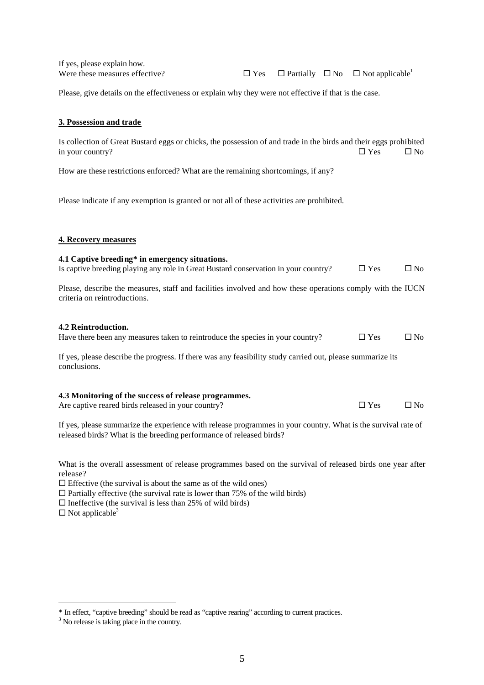If yes, please explain how.

Were these measures effective?  $\Box$  Yes  $\Box$  Partially  $\Box$  No  $\Box$  Not applicable<sup>1</sup>

Please, give details on the effectiveness or explain why they were not effective if that is the case.

#### **3. Possession and trade**

Is collection of Great Bustard eggs or chicks, the possession of and trade in the birds and their eggs prohibited in your country?  $\square$  Yes  $\square$  No

How are these restrictions enforced? What are the remaining shortcomings, if any?

Please indicate if any exemption is granted or not all of these activities are prohibited.

#### **4. Recovery measures**

#### **4.1 Captive breeding\* in emergency situations.**

Is captive breeding playing any role in Great Bustard conservation in your country?  $\Box$  Yes  $\Box$  No

Please, describe the measures, staff and facilities involved and how these operations comply with the IUCN criteria on reintroductions.

#### **4.2 Reintroduction.**

| Have there been any measures taken to reintroduce the species in your country? | $\Box$ Yes | $\square$ No |
|--------------------------------------------------------------------------------|------------|--------------|
|--------------------------------------------------------------------------------|------------|--------------|

If yes, please describe the progress. If there was any feasibility study carried out, please summarize its conclusions.

#### **4.3 Monitoring of the success of release programmes.**

Are captive reared birds released in your country?  $\square$  Yes  $\square$  No

If yes, please summarize the experience with release programmes in your country. What is the survival rate of released birds? What is the breeding performance of released birds?

What is the overall assessment of release programmes based on the survival of released birds one year after release?

 $\square$  Effective (the survival is about the same as of the wild ones)

 $\Box$  Partially effective (the survival rate is lower than 75% of the wild birds)

 $\Box$  Ineffective (the survival is less than 25% of wild birds)

 $\square$  Not applicable<sup>3</sup>

 $\overline{a}$ 

<sup>\*</sup> In effect, "captive breeding" should be read as "captive rearing" according to current practices.

<sup>&</sup>lt;sup>3</sup> No release is taking place in the country.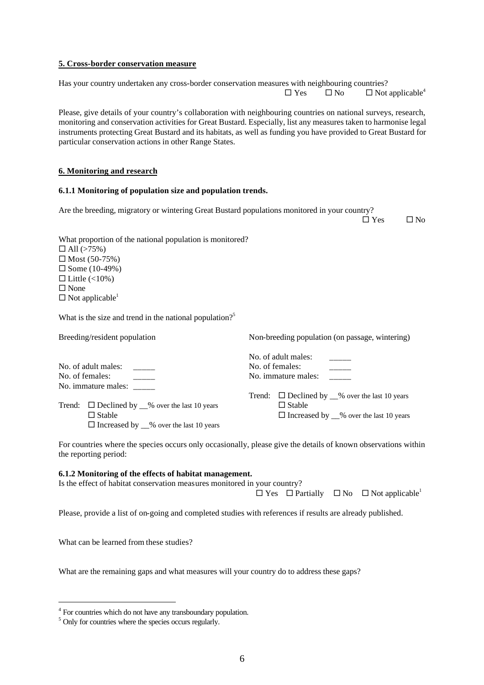#### **5. Cross-border conservation measure**

Has your country undertaken any cross-border conservation measures with neighbouring countries?  $\square$  Yes  $\square$  No  $\square$  Not applicable<sup>4</sup>

Please, give details of your country's collaboration with neighbouring countries on national surveys, research, monitoring and conservation activities for Great Bustard. Especially, list any measures taken to harmonise legal instruments protecting Great Bustard and its habitats, as well as funding you have provided to Great Bustard for particular conservation actions in other Range States.

#### **6. Monitoring and research**

#### **6.1.1 Monitoring of population size and population trends.**

Are the breeding, migratory or wintering Great Bustard populations monitored in your country?

 $\Box$  Yes  $\Box$  No

What proportion of the national population is monitored?

 $\Box$  All (>75%)  $\square$  Most (50-75%)  $\square$  Some (10-49%)  $\Box$  Little (<10%)  $\square$  None  $\square$  Not applicable<sup>1</sup>

What is the size and trend in the national population?<sup>5</sup>

Breeding/resident population

Non-breeding population (on passage, wintering)

|                     |                                                         |                     | No. of adult males:                                     |  |  |
|---------------------|---------------------------------------------------------|---------------------|---------------------------------------------------------|--|--|
| No. of adult males: |                                                         | No. of females:     |                                                         |  |  |
| No. of females:     |                                                         | No. immature males: |                                                         |  |  |
|                     | No. immature males: _____                               |                     |                                                         |  |  |
|                     |                                                         |                     | Trend: $\Box$ Declined by $\_\%$ over the last 10 years |  |  |
|                     | Trend: $\Box$ Declined by $\_\%$ over the last 10 years |                     | $\Box$ Stable                                           |  |  |
|                     | $\Box$ Stable                                           |                     | $\Box$ Increased by $\_\%$ over the last 10 years       |  |  |
|                     | $\Box$ Increased by $\_\%$ over the last 10 years       |                     |                                                         |  |  |

For countries where the species occurs only occasionally, please give the details of known observations within the reporting period:

#### **6.1.2 Monitoring of the effects of habitat management.**

Is the effect of habitat conservation measures monitored in your country?

 $\Box$  Yes  $\Box$  Partially  $\Box$  No  $\Box$  Not applicable<sup>1</sup>

Please, provide a list of on-going and completed studies with references if results are already published.

What can be learned from these studies?

 $\overline{a}$ 

What are the remaining gaps and what measures will your country do to address these gaps?

<sup>&</sup>lt;sup>4</sup> For countries which do not have any transboundary population.

<sup>&</sup>lt;sup>5</sup> Only for countries where the species occurs regularly.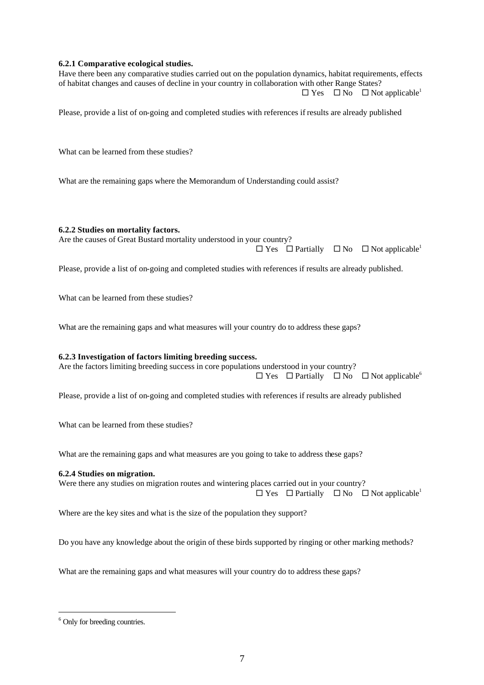#### **6.2.1 Comparative ecological studies.**

Have there been any comparative studies carried out on the population dynamics, habitat requirements, effects of habitat changes and causes of decline in your country in collaboration with other Range States?  $\square$  Yes  $\square$  No  $\square$  Not applicable<sup>1</sup>

Please, provide a list of on-going and completed studies with references if results are already published

What can be learned from these studies?

What are the remaining gaps where the Memorandum of Understanding could assist?

#### **6.2.2 Studies on mortality factors.**

Are the causes of Great Bustard mortality understood in your country?

 $\square$  Yes  $\square$  Partially  $\square$  No  $\square$  Not applicable<sup>1</sup>

Please, provide a list of on-going and completed studies with references if results are already published.

What can be learned from these studies?

What are the remaining gaps and what measures will your country do to address these gaps?

#### **6.2.3 Investigation of factors limiting breeding success.**

Are the factors limiting breeding success in core populations understood in your country?  $\square$  Yes  $\square$  Partially  $\square$  No  $\square$  Not applicable<sup>6</sup>

Please, provide a list of on-going and completed studies with references if results are already published

What can be learned from these studies?

What are the remaining gaps and what measures are you going to take to address these gaps?

#### **6.2.4 Studies on migration.**

Were there any studies on migration routes and wintering places carried out in your country?  $\square$  Yes  $\square$  Partially  $\square$  No  $\square$  Not applicable<sup>1</sup>

Where are the key sites and what is the size of the population they support?

Do you have any knowledge about the origin of these birds supported by ringing or other marking methods?

What are the remaining gaps and what measures will your country do to address these gaps?

 $\overline{a}$ 

<sup>&</sup>lt;sup>6</sup> Only for breeding countries.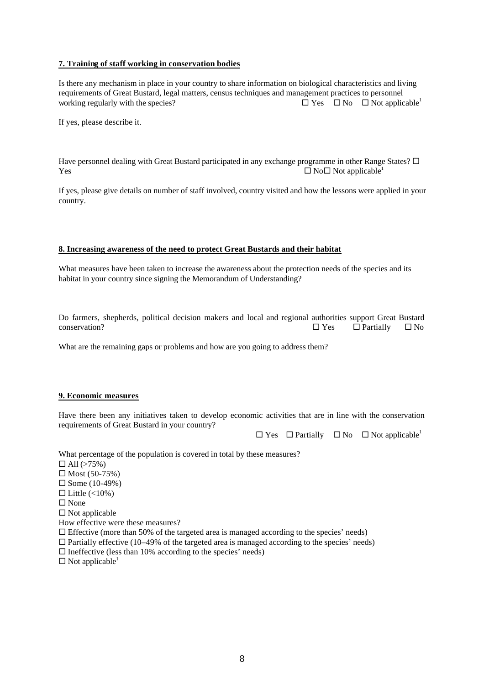#### **7. Training of staff working in conservation bodies**

Is there any mechanism in place in your country to share information on biological characteristics and living requirements of Great Bustard, legal matters, census techniques and management practices to personnel working regularly with the species?  $\Box$  Yes  $\Box$  No  $\Box$  Not applicable<sup>1</sup>

If yes, please describe it.

Have personnel dealing with Great Bustard participated in any exchange programme in other Range States?  $\Box$  $Y$ es  $\Box$  No $\Box$  No $\Box$  Not applicable<sup>1</sup>

If yes, please give details on number of staff involved, country visited and how the lessons were applied in your country.

#### **8. Increasing awareness of the need to protect Great Bustards and their habitat**

What measures have been taken to increase the awareness about the protection needs of the species and its habitat in your country since signing the Memorandum of Understanding?

Do farmers, shepherds, political decision makers and local and regional authorities support Great Bustard  $\Box$  Yes  $\Box$  Partially  $\Box$  No

What are the remaining gaps or problems and how are you going to address them?

#### **9. Economic measures**

Have there been any initiatives taken to develop economic activities that are in line with the conservation requirements of Great Bustard in your country?

 $\square$  Yes  $\square$  Partially  $\square$  No  $\square$  Not applicable<sup>1</sup>

What percentage of the population is covered in total by these measures?

- $\Box$  All (>75%)
- $\square$  Most (50-75%)
- $\square$  Some (10-49%)
- $\Box$  Little (<10%)
- $\square$  None
- $\square$  Not applicable
- How effective were these measures?
- $\Box$  Effective (more than 50% of the targeted area is managed according to the species' needs)
- $\Box$  Partially effective (10–49% of the targeted area is managed according to the species' needs)
- $\square$  Ineffective (less than 10% according to the species' needs)
- $\square$  Not applicable<sup>1</sup>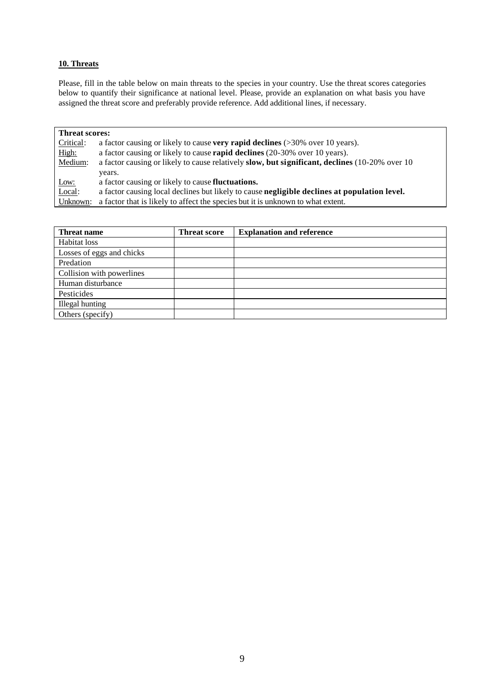#### **10. Threats**

Please, fill in the table below on main threats to the species in your country. Use the threat scores categories below to quantify their significance at national level. Please, provide an explanation on what basis you have assigned the threat score and preferably provide reference. Add additional lines, if necessary.

| <b>Threat scores:</b> |                                                                                                |  |  |  |
|-----------------------|------------------------------------------------------------------------------------------------|--|--|--|
| Critical:             | a factor causing or likely to cause very rapid declines $($ >30% over 10 years).               |  |  |  |
| High:                 | a factor causing or likely to cause <b>rapid declines</b> (20-30% over 10 years).              |  |  |  |
| Medium:               | a factor causing or likely to cause relatively slow, but significant, declines (10-20% over 10 |  |  |  |
|                       | years.                                                                                         |  |  |  |
| Low:                  | a factor causing or likely to cause <b>fluctuations.</b>                                       |  |  |  |
| Local:                | a factor causing local declines but likely to cause negligible declines at population level.   |  |  |  |
| Unknown:              | a factor that is likely to affect the species but it is unknown to what extent.                |  |  |  |

| <b>Threat name</b>        | <b>Threat score</b> | <b>Explanation and reference</b> |
|---------------------------|---------------------|----------------------------------|
| Habitat loss              |                     |                                  |
| Losses of eggs and chicks |                     |                                  |
| Predation                 |                     |                                  |
| Collision with powerlines |                     |                                  |
| Human disturbance         |                     |                                  |
| Pesticides                |                     |                                  |
| Illegal hunting           |                     |                                  |
| Others (specify)          |                     |                                  |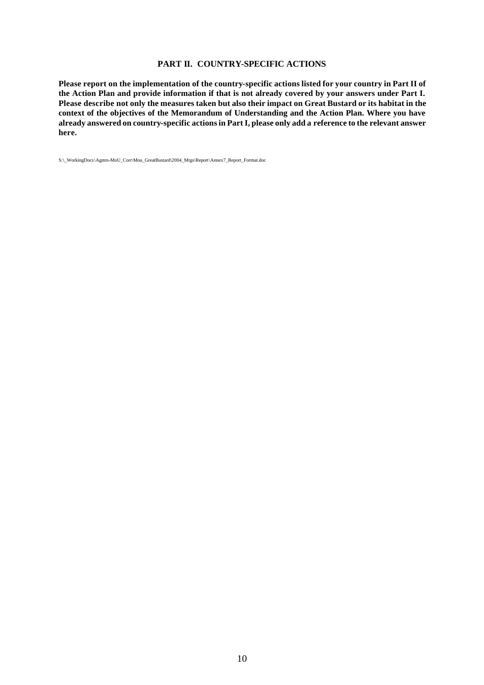#### **PART II. COUNTRY-SPECIFIC ACTIONS**

**Please report on the implementation of the country-specific actions listed for your country in Part II of the Action Plan and provide information if that is not already covered by your answers under Part I. Please describe not only the measures taken but also their impact on Great Bustard or its habitat in the context of the objectives of the Memorandum of Understanding and the Action Plan. Where you have already answered on country-specific actions in Part I, please only add a reference to the relevant answer here.**

S:\\_WorkingDocs\Agmts-MoU\_Corr\Mou\_GreatBustard\2004\_Mtgs\Report\Annex7\_Report\_Format.doc